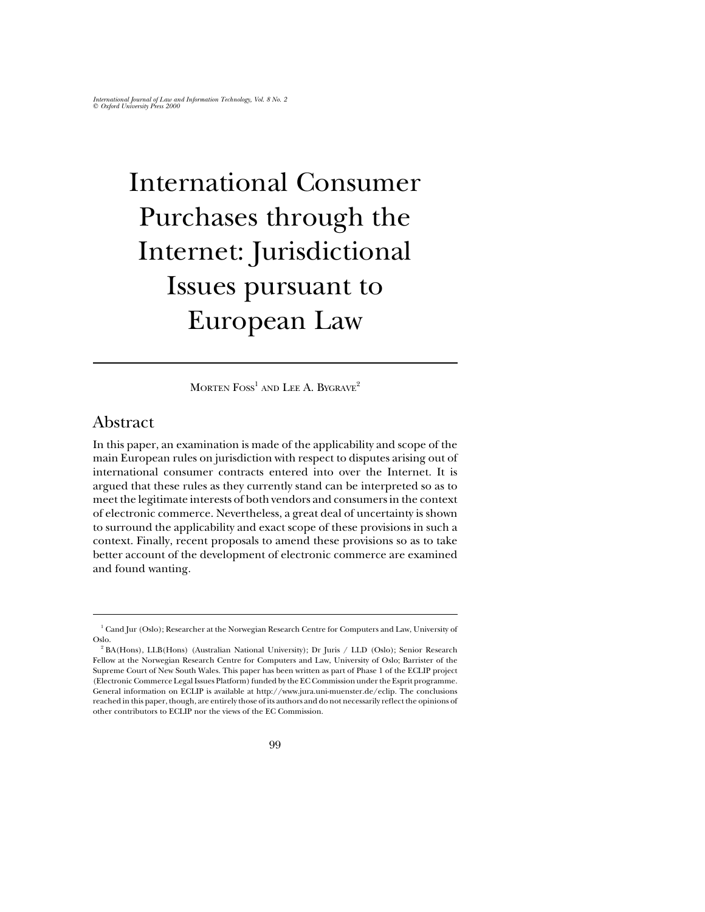# International Consumer Purchases through the Internet: Jurisdictional Issues pursuant to European Law

MORTEN FOSS<sup>1</sup> AND LEE A. BYGRAVE<sup>2</sup>

## Abstract

In this paper, an examination is made of the applicability and scope of the main European rules on jurisdiction with respect to disputes arising out of international consumer contracts entered into over the Internet. It is argued that these rules as they currently stand can be interpreted so as to meet the legitimate interests of both vendors and consumers in the context of electronic commerce. Nevertheless, a great deal of uncertainty is shown to surround the applicability and exact scope of these provisions in such a context. Finally, recent proposals to amend these provisions so as to take better account of the development of electronic commerce are examined and found wanting.

<sup>&</sup>lt;sup>1</sup> Cand Jur (Oslo); Researcher at the Norwegian Research Centre for Computers and Law, University of Oslo.

<sup>2</sup> BA(Hons), LLB(Hons) (Australian National University); Dr Juris / LLD (Oslo); Senior Research Fellow at the Norwegian Research Centre for Computers and Law, University of Oslo; Barrister of the Supreme Court of New South Wales. This paper has been written as part of Phase 1 of the ECLIP project (Electronic Commerce Legal Issues Platform) funded by the EC Commission under the Esprit programme. General information on ECLIP is available at http://www.jura.uni-muenster.de/eclip. The conclusions reached in this paper, though, are entirely those of its authors and do not necessarily reflect the opinions of other contributors to ECLIP nor the views of the EC Commission.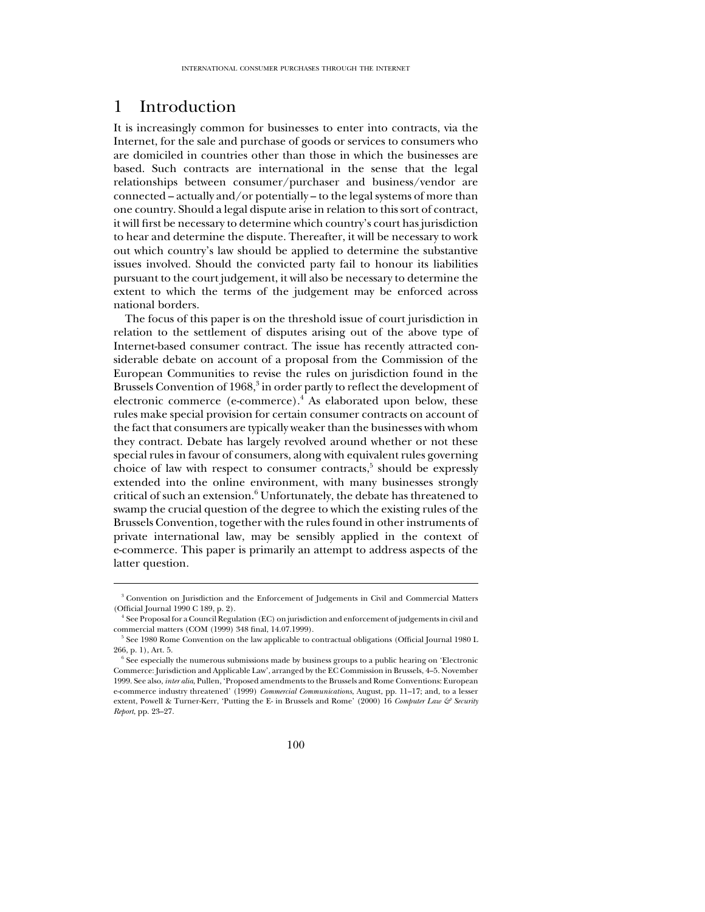## 1 Introduction

It is increasingly common for businesses to enter into contracts, via the Internet, for the sale and purchase of goods or services to consumers who are domiciled in countries other than those in which the businesses are based. Such contracts are international in the sense that the legal relationships between consumer/purchaser and business/vendor are connected – actually and/or potentially – to the legal systems of more than one country. Should a legal dispute arise in relation to this sort of contract, it will first be necessary to determine which country's court has jurisdiction to hear and determine the dispute. Thereafter, it will be necessary to work out which country's law should be applied to determine the substantive issues involved. Should the convicted party fail to honour its liabilities pursuant to the court judgement, it will also be necessary to determine the extent to which the terms of the judgement may be enforced across national borders.

The focus of this paper is on the threshold issue of court jurisdiction in relation to the settlement of disputes arising out of the above type of Internet-based consumer contract. The issue has recently attracted considerable debate on account of a proposal from the Commission of the European Communities to revise the rules on jurisdiction found in the Brussels Convention of  $1968$ ,<sup>3</sup> in order partly to reflect the development of electronic commerce (e-commerce). $4$  As elaborated upon below, these rules make special provision for certain consumer contracts on account of the fact that consumers are typically weaker than the businesses with whom they contract. Debate has largely revolved around whether or not these special rules in favour of consumers, along with equivalent rules governing choice of law with respect to consumer contracts, $5$  should be expressly extended into the online environment, with many businesses strongly critical of such an extension.<sup>6</sup> Unfortunately, the debate has threatened to swamp the crucial question of the degree to which the existing rules of the Brussels Convention, together with the rules found in other instruments of private international law, may be sensibly applied in the context of e-commerce. This paper is primarily an attempt to address aspects of the latter question.

<sup>3</sup> Convention on Jurisdiction and the Enforcement of Judgements in Civil and Commercial Matters (Official Journal 1990 C 189, p. 2).

<sup>4</sup> See Proposal for a Council Regulation (EC) on jurisdiction and enforcement of judgements in civil and commercial matters (COM (1999) 348 final, 14.07.1999).

 $^5$  See 1980 Rome Convention on the law applicable to contractual obligations (Official Journal 1980 L 266, p. 1), Art. 5.

<sup>&</sup>lt;sup>6</sup> See especially the numerous submissions made by business groups to a public hearing on 'Electronic Commerce: Jurisdiction and Applicable Law', arranged by the EC Commission in Brussels, 4–5. November 1999. See also, *inter alia*, Pullen, 'Proposed amendments to the Brussels and Rome Conventions: European e-commerce industry threatened' (1999) *Commercial Communications*, August, pp. 11–17; and, to a lesser extent, Powell & Turner-Kerr, 'Putting the E- in Brussels and Rome' (2000) 16 *Computer Law & Security Report*, pp. 23–27.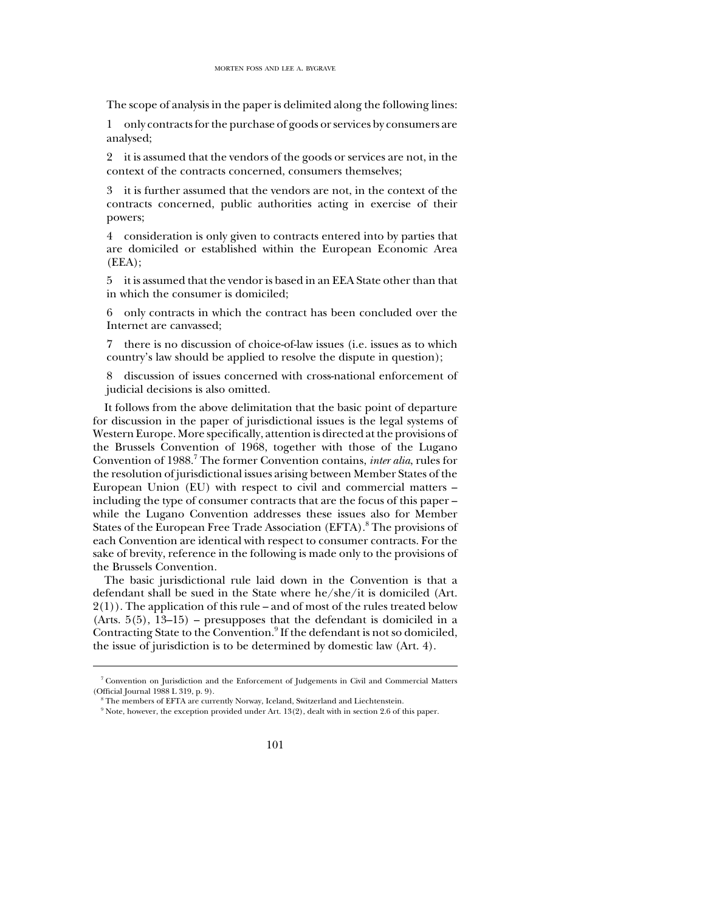The scope of analysis in the paper is delimited along the following lines:

1 only contracts for the purchase of goods or services by consumers are analysed;

2 it is assumed that the vendors of the goods or services are not, in the context of the contracts concerned, consumers themselves;

3 it is further assumed that the vendors are not, in the context of the contracts concerned, public authorities acting in exercise of their powers;

4 consideration is only given to contracts entered into by parties that are domiciled or established within the European Economic Area  $(EEA);$ 

5 it is assumed that the vendor is based in an EEA State other than that in which the consumer is domiciled;

6 only contracts in which the contract has been concluded over the Internet are canvassed;

7 there is no discussion of choice-of-law issues (i.e. issues as to which country's law should be applied to resolve the dispute in question);

8 discussion of issues concerned with cross-national enforcement of judicial decisions is also omitted.

It follows from the above delimitation that the basic point of departure for discussion in the paper of jurisdictional issues is the legal systems of Western Europe. More specifically, attention is directed at the provisions of the Brussels Convention of 1968, together with those of the Lugano Convention of 1988.7 The former Convention contains, *inter alia*, rules for the resolution of jurisdictional issues arising between Member States of the European Union (EU) with respect to civil and commercial matters – including the type of consumer contracts that are the focus of this paper – while the Lugano Convention addresses these issues also for Member States of the European Free Trade Association (EFTA).<sup>8</sup> The provisions of each Convention are identical with respect to consumer contracts. For the sake of brevity, reference in the following is made only to the provisions of the Brussels Convention.

The basic jurisdictional rule laid down in the Convention is that a defendant shall be sued in the State where he/she/it is domiciled (Art.  $2(1)$ ). The application of this rule – and of most of the rules treated below (Arts.  $5(5)$ ,  $13-15$ ) – presupposes that the defendant is domiciled in a Contracting State to the Convention.<sup>9</sup> If the defendant is not so domiciled, the issue of jurisdiction is to be determined by domestic law (Art. 4).

<sup>7</sup> Convention on Jurisdiction and the Enforcement of Judgements in Civil and Commercial Matters (Official Journal 1988 L 319, p. 9).

<sup>&</sup>lt;sup>8</sup> The members of EFTA are currently Norway, Iceland, Switzerland and Liechtenstein.

 $9$  Note, however, the exception provided under Art. 13(2), dealt with in section 2.6 of this paper.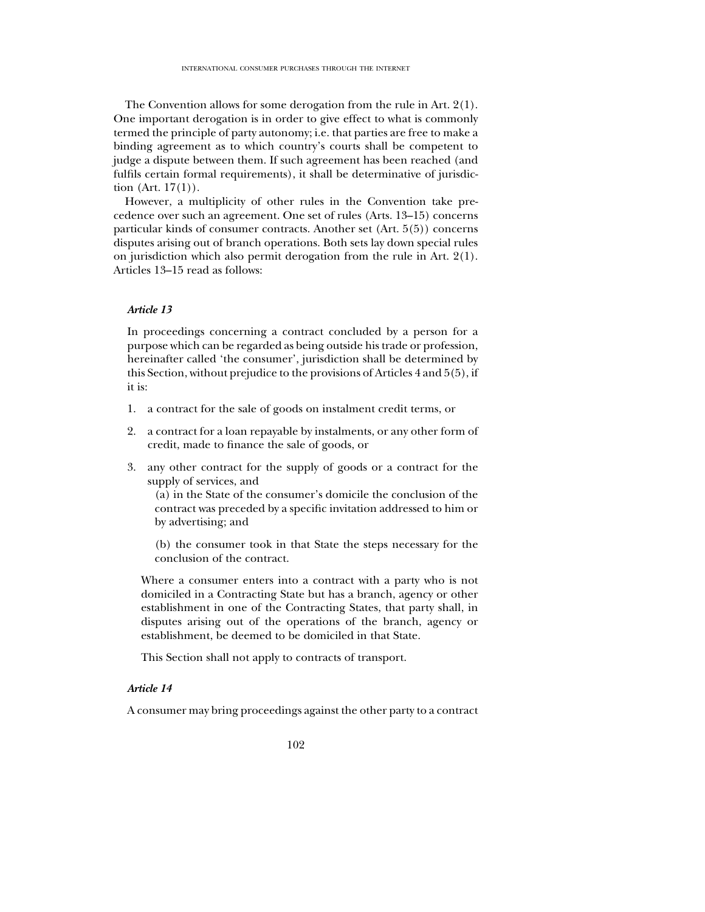The Convention allows for some derogation from the rule in Art. 2(1). One important derogation is in order to give effect to what is commonly termed the principle of party autonomy; i.e. that parties are free to make a binding agreement as to which country's courts shall be competent to judge a dispute between them. If such agreement has been reached (and fulfils certain formal requirements), it shall be determinative of jurisdiction  $(Art. 17(1))$ .

However, a multiplicity of other rules in the Convention take precedence over such an agreement. One set of rules (Arts. 13–15) concerns particular kinds of consumer contracts. Another set (Art. 5(5)) concerns disputes arising out of branch operations. Both sets lay down special rules on jurisdiction which also permit derogation from the rule in Art. 2(1). Articles 13–15 read as follows:

#### *Article 13*

In proceedings concerning a contract concluded by a person for a purpose which can be regarded as being outside his trade or profession, hereinafter called 'the consumer', jurisdiction shall be determined by this Section, without prejudice to the provisions of Articles 4 and 5(5), if it is:

- 1. a contract for the sale of goods on instalment credit terms, or
- 2. a contract for a loan repayable by instalments, or any other form of credit, made to finance the sale of goods, or
- 3. any other contract for the supply of goods or a contract for the supply of services, and

(a) in the State of the consumer's domicile the conclusion of the contract was preceded by a specific invitation addressed to him or by advertising; and

(b) the consumer took in that State the steps necessary for the conclusion of the contract.

Where a consumer enters into a contract with a party who is not domiciled in a Contracting State but has a branch, agency or other establishment in one of the Contracting States, that party shall, in disputes arising out of the operations of the branch, agency or establishment, be deemed to be domiciled in that State.

This Section shall not apply to contracts of transport.

#### *Article 14*

A consumer may bring proceedings against the other party to a contract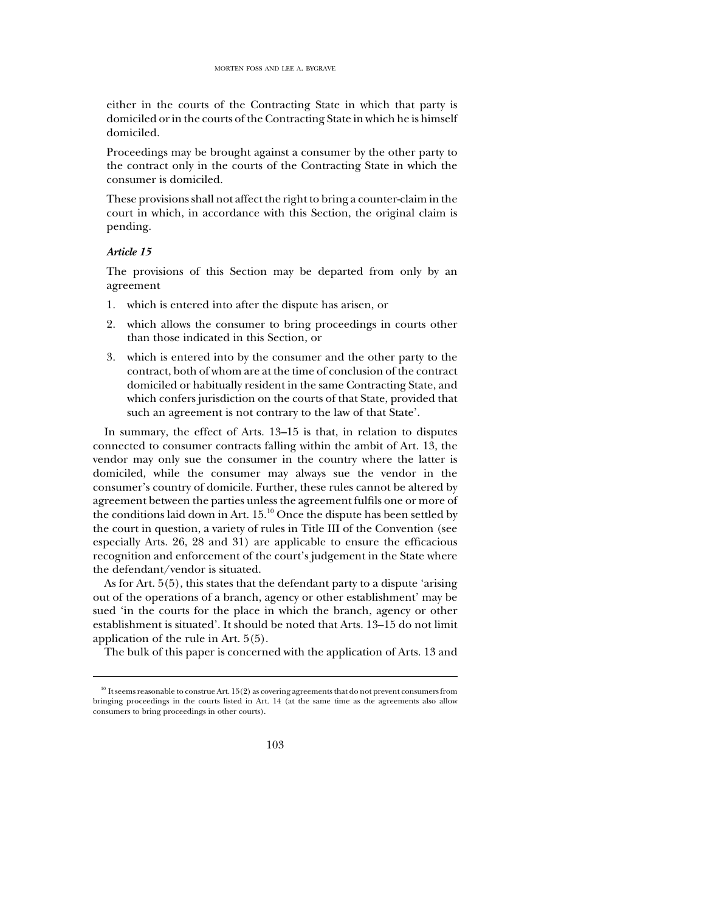either in the courts of the Contracting State in which that party is domiciled or in the courts of the Contracting State in which he is himself domiciled.

Proceedings may be brought against a consumer by the other party to the contract only in the courts of the Contracting State in which the consumer is domiciled.

These provisions shall not affect the right to bring a counter-claim in the court in which, in accordance with this Section, the original claim is pending.

#### *Article 15*

The provisions of this Section may be departed from only by an agreement

- 1. which is entered into after the dispute has arisen, or
- 2. which allows the consumer to bring proceedings in courts other than those indicated in this Section, or
- 3. which is entered into by the consumer and the other party to the contract, both of whom are at the time of conclusion of the contract domiciled or habitually resident in the same Contracting State, and which confers jurisdiction on the courts of that State, provided that such an agreement is not contrary to the law of that State'.

In summary, the effect of Arts. 13–15 is that, in relation to disputes connected to consumer contracts falling within the ambit of Art. 13, the vendor may only sue the consumer in the country where the latter is domiciled, while the consumer may always sue the vendor in the consumer's country of domicile. Further, these rules cannot be altered by agreement between the parties unless the agreement fulfils one or more of the conditions laid down in Art.  $15^{10}$  Once the dispute has been settled by the court in question, a variety of rules in Title III of the Convention (see especially Arts. 26, 28 and 31) are applicable to ensure the efficacious recognition and enforcement of the court's judgement in the State where the defendant/vendor is situated.

As for Art. 5(5), this states that the defendant party to a dispute 'arising out of the operations of a branch, agency or other establishment' may be sued 'in the courts for the place in which the branch, agency or other establishment is situated'. It should be noted that Arts. 13–15 do not limit application of the rule in Art. 5(5).

The bulk of this paper is concerned with the application of Arts. 13 and

 $10$  It seems reasonable to construe Art.  $15(2)$  as covering agreements that do not prevent consumers from bringing proceedings in the courts listed in Art. 14 (at the same time as the agreements also allow consumers to bring proceedings in other courts).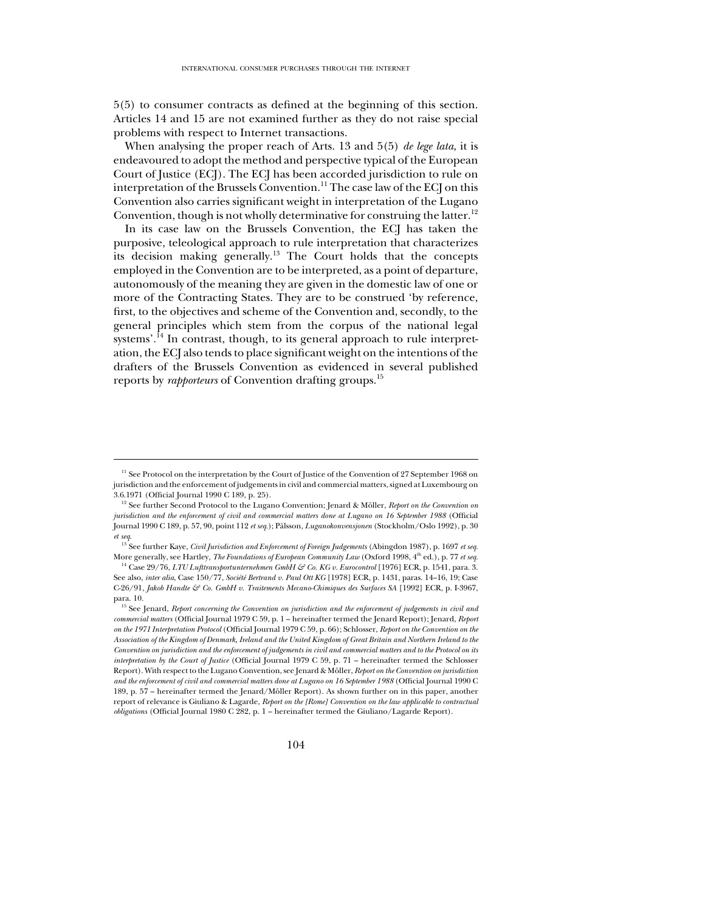5(5) to consumer contracts as defined at the beginning of this section. Articles 14 and 15 are not examined further as they do not raise special problems with respect to Internet transactions.

When analysing the proper reach of Arts. 13 and 5(5) *de lege lata*, it is endeavoured to adopt the method and perspective typical of the European Court of Justice (ECJ). The ECJ has been accorded jurisdiction to rule on interpretation of the Brussels Convention.<sup>11</sup> The case law of the ECJ on this Convention also carries significant weight in interpretation of the Lugano Convention, though is not wholly determinative for construing the latter.<sup>12</sup>

In its case law on the Brussels Convention, the ECJ has taken the purposive, teleological approach to rule interpretation that characterizes its decision making generally.<sup>13</sup> The Court holds that the concepts employed in the Convention are to be interpreted, as a point of departure, autonomously of the meaning they are given in the domestic law of one or more of the Contracting States. They are to be construed 'by reference, first, to the objectives and scheme of the Convention and, secondly, to the general principles which stem from the corpus of the national legal systems'.<sup>14</sup> In contrast, though, to its general approach to rule interpretation, the ECJ also tends to place significant weight on the intentions of the drafters of the Brussels Convention as evidenced in several published reports by *rapporteurs* of Convention drafting groups.15

<sup>&</sup>lt;sup>11</sup> See Protocol on the interpretation by the Court of Justice of the Convention of 27 September 1968 on jurisdiction and the enforcement of judgements in civil and commercial matters, signed at Luxembourg on 3.6.1971 (Official Journal 1990 C 189, p. 25).

<sup>12</sup> See further Second Protocol to the Lugano Convention; Jenard & Möller, *Report on the Convention on jurisdiction and the enforcement of civil and commercial matters done at Lugano on 16 September 1988* (Official Journal 1990 C 189, p. 57, 90, point 112 *et seq*.); Pålsson, *Luganokonvensjonen* (Stockholm/Oslo 1992), p. 30 *et seq*.

<sup>13</sup> See further Kaye, *Civil Jurisdiction and Enforcement of Foreign Judgements* (Abingdon 1987), p. 1697 *et seq*. More generally, see Hartley, *The Foundations of European Community Law* (Oxford 1998, 4<sup>th</sup> ed.), p. 77 *et seq.* 

<sup>&</sup>lt;sup>14</sup> Case 29/76, *LTU Lufttransportunternehmen GmbH & Co. KG v. Eurocontrol* [1976] ECR, p. 1541, para. 3. See also, *inter alia*, Case 150/77, *Société Bertrand v. Paul Ott KG* [1978] ECR, p. 1431, paras. 14–16, 19; Case C-26/91, *Jakob Handte & Co. GmbH v. Traitements Mecano-Chimiques des Surfaces SA* [1992] ECR, p. I-3967, para. 10.

<sup>15</sup> See Jenard, *Report concerning the Convention on jurisdiction and the enforcement of judgements in civil and commercial matters* (Official Journal 1979 C 59, p. 1 – hereinafter termed the Jenard Report); Jenard, *Report on the 1971 Interpretation Protocol* (Official Journal 1979 C 59, p. 66); Schlosser, *Report on the Convention on the Association of the Kingdom of Denmark, Ireland and the United Kingdom of Great Britain and Northern Ireland to the Convention on jurisdiction and the enforcement of judgements in civil and commercial matters and to the Protocol on its interpretation by the Court of Justice* (Official Journal 1979 C 59, p. 71 – hereinafter termed the Schlosser Report). With respect to the Lugano Convention, see Jenard & Möller, *Report on the Convention on jurisdiction and the enforcement of civil and commercial matters done at Lugano on 16 September 1988* (Official Journal 1990 C 189, p. 57 – hereinafter termed the Jenard/Möller Report). As shown further on in this paper, another report of relevance is Giuliano & Lagarde, *Report on the [Rome] Convention on the law applicable to contractual obligations* (Official Journal 1980 C 282, p. 1 – hereinafter termed the Giuliano/Lagarde Report).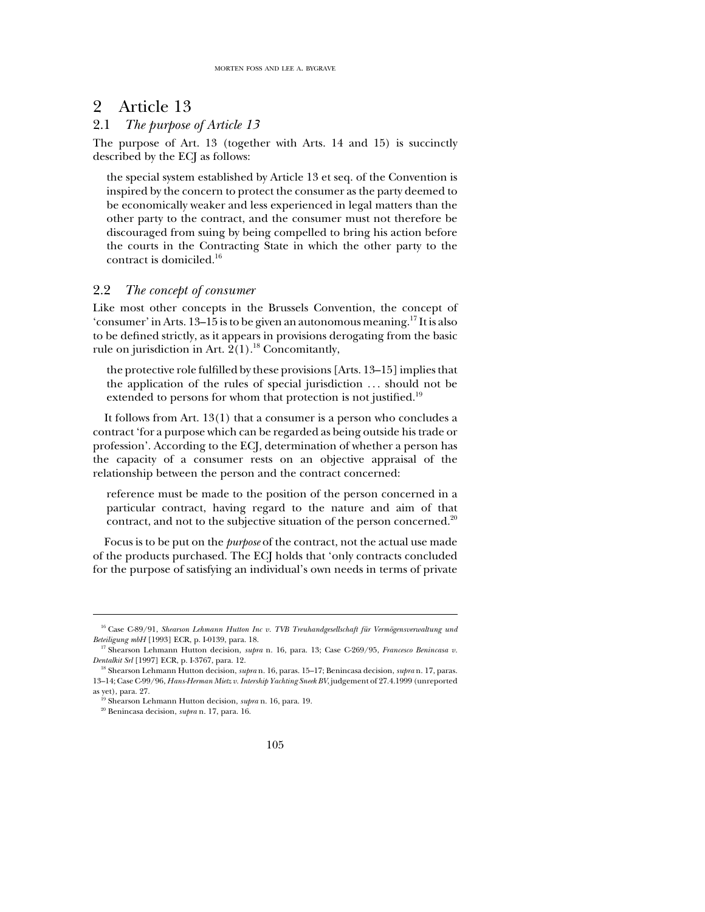## 2 Article 13

#### 2.1 *The purpose of Article 13*

The purpose of Art. 13 (together with Arts. 14 and 15) is succinctly described by the ECJ as follows:

the special system established by Article 13 et seq. of the Convention is inspired by the concern to protect the consumer as the party deemed to be economically weaker and less experienced in legal matters than the other party to the contract, and the consumer must not therefore be discouraged from suing by being compelled to bring his action before the courts in the Contracting State in which the other party to the contract is domiciled.16

#### 2.2 *The concept of consumer*

Like most other concepts in the Brussels Convention, the concept of 'consumer' in Arts. 13–15 is to be given an autonomous meaning.17 It is also to be defined strictly, as it appears in provisions derogating from the basic rule on jurisdiction in Art.  $2(1).^{18}$  Concomitantly,

the protective role fulfilled by these provisions [Arts. 13–15] implies that the application of the rules of special jurisdiction . . . should not be extended to persons for whom that protection is not justified.<sup>19</sup>

It follows from Art. 13(1) that a consumer is a person who concludes a contract 'for a purpose which can be regarded as being outside his trade or profession'. According to the ECJ, determination of whether a person has the capacity of a consumer rests on an objective appraisal of the relationship between the person and the contract concerned:

reference must be made to the position of the person concerned in a particular contract, having regard to the nature and aim of that contract, and not to the subjective situation of the person concerned.<sup>20</sup>

Focus is to be put on the *purpose* of the contract, not the actual use made of the products purchased. The ECJ holds that 'only contracts concluded for the purpose of satisfying an individual's own needs in terms of private

<sup>16</sup> Case C-89/91, *Shearson Lehmann Hutton Inc v. TVB Treuhandgesellschaft für Vermögensverwaltung und Beteiligung mbH* [1993] ECR, p. I-0139, para. 18.

<sup>17</sup> Shearson Lehmann Hutton decision, *supra* n. 16, para. 13; Case C-269/95, *Francesco Benincasa v. Dentalkit Srl* [1997] ECR, p. I-3767, para. 12.

<sup>18</sup> Shearson Lehmann Hutton decision, *supra* n. 16, paras. 15–17; Benincasa decision, *supra* n. 17, paras. 13–14; Case C-99/96, *Hans-Herman Mietz v. Intership Yachting Sneek BV*, judgement of 27.4.1999 (unreported as yet), para. 27.

<sup>19</sup> Shearson Lehmann Hutton decision, *supra* n. 16, para. 19.

<sup>20</sup> Benincasa decision, *supra* n. 17, para. 16.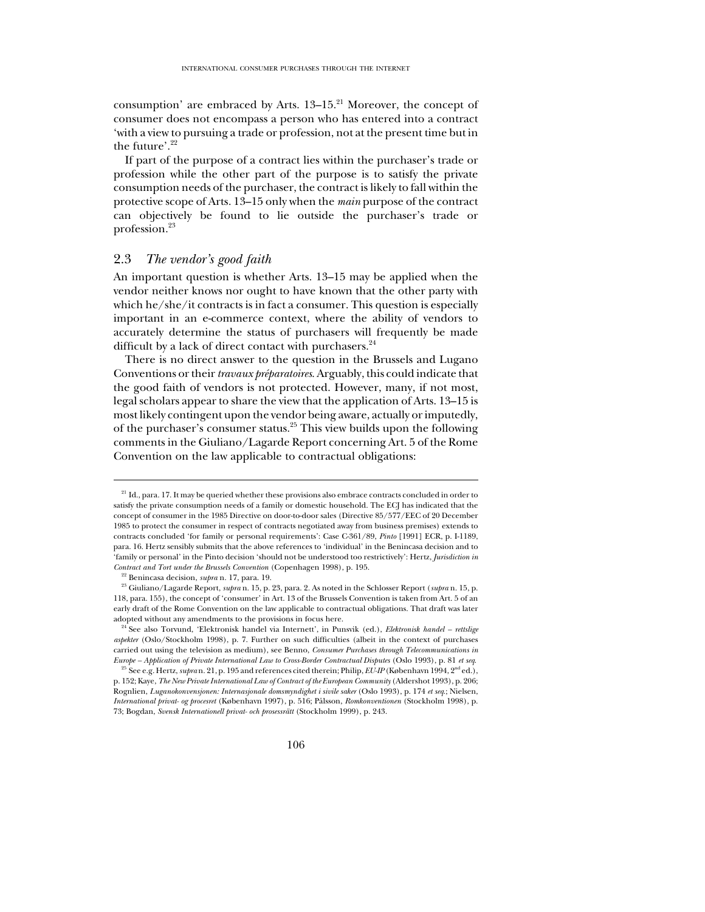consumption' are embraced by Arts.  $13-15$ <sup>21</sup> Moreover, the concept of consumer does not encompass a person who has entered into a contract 'with a view to pursuing a trade or profession, not at the present time but in the future'.<sup>22</sup>

If part of the purpose of a contract lies within the purchaser's trade or profession while the other part of the purpose is to satisfy the private consumption needs of the purchaser, the contract is likely to fall within the protective scope of Arts. 13–15 only when the *main* purpose of the contract can objectively be found to lie outside the purchaser's trade or profession.23

#### 2.3 *The vendor's good faith*

An important question is whether Arts. 13–15 may be applied when the vendor neither knows nor ought to have known that the other party with which he/she/it contracts is in fact a consumer. This question is especially important in an e-commerce context, where the ability of vendors to accurately determine the status of purchasers will frequently be made difficult by a lack of direct contact with purchasers. $24$ 

There is no direct answer to the question in the Brussels and Lugano Conventions or their *travaux préparatoires*. Arguably, this could indicate that the good faith of vendors is not protected. However, many, if not most, legal scholars appear to share the view that the application of Arts. 13–15 is most likely contingent upon the vendor being aware, actually or imputedly, of the purchaser's consumer status.<sup>25</sup> This view builds upon the following comments in the Giuliano/Lagarde Report concerning Art. 5 of the Rome Convention on the law applicable to contractual obligations:

<sup>&</sup>lt;sup>21</sup> Id., para. 17. It may be queried whether these provisions also embrace contracts concluded in order to satisfy the private consumption needs of a family or domestic household. The ECJ has indicated that the concept of consumer in the 1985 Directive on door-to-door sales (Directive 85/577/EEC of 20 December 1985 to protect the consumer in respect of contracts negotiated away from business premises) extends to contracts concluded 'for family or personal requirements': Case C-361/89, *Pinto* [1991] ECR, p. I-1189, para. 16. Hertz sensibly submits that the above references to 'individual' in the Benincasa decision and to 'family or personal' in the Pinto decision 'should not be understood too restrictively': Hertz, *Jurisdiction in Contract and Tort under the Brussels Convention* (Copenhagen 1998), p. 195.

<sup>22</sup> Benincasa decision, *supra* n. 17, para. 19.

<sup>23</sup> Giuliano/Lagarde Report, *supra* n. 15, p. 23, para. 2. As noted in the Schlosser Report (*supra* n. 15, p. 118, para. 155), the concept of 'consumer' in Art. 13 of the Brussels Convention is taken from Art. 5 of an early draft of the Rome Convention on the law applicable to contractual obligations. That draft was later adopted without any amendments to the provisions in focus here.

<sup>24</sup> See also Torvund, 'Elektronisk handel via Internett', in Punsvik (ed.), *Elektronisk handel – rettslige aspekter* (Oslo/Stockholm 1998), p. 7. Further on such difficulties (albeit in the context of purchases carried out using the television as medium), see Benno, *Consumer Purchases through Telecommunications in Europe – Application of Private International Law to Cross-Border Contractual Disputes* (Oslo 1993), p. 81 *et seq*.

<sup>&</sup>lt;sup>25</sup> See e.g. Hertz, *supra* n. 21, p. 195 and references cited therein; Philip, *EU-IP* (København 1994, 2<sup>nd</sup> ed.), p. 152; Kaye, *The New Private International Law of Contract of the European Community* (Aldershot 1993), p. 206; Rognlien, *Luganokonvensjonen: Internasjonale domsmyndighet i sivile saker* (Oslo 1993), p. 174 *et seq*.; Nielsen, *International privat- og procesret* (København 1997), p. 516; Pålsson, *Romkonventionen* (Stockholm 1998), p. 73; Bogdan, *Svensk Internationell privat- och prosessrätt* (Stockholm 1999), p. 243.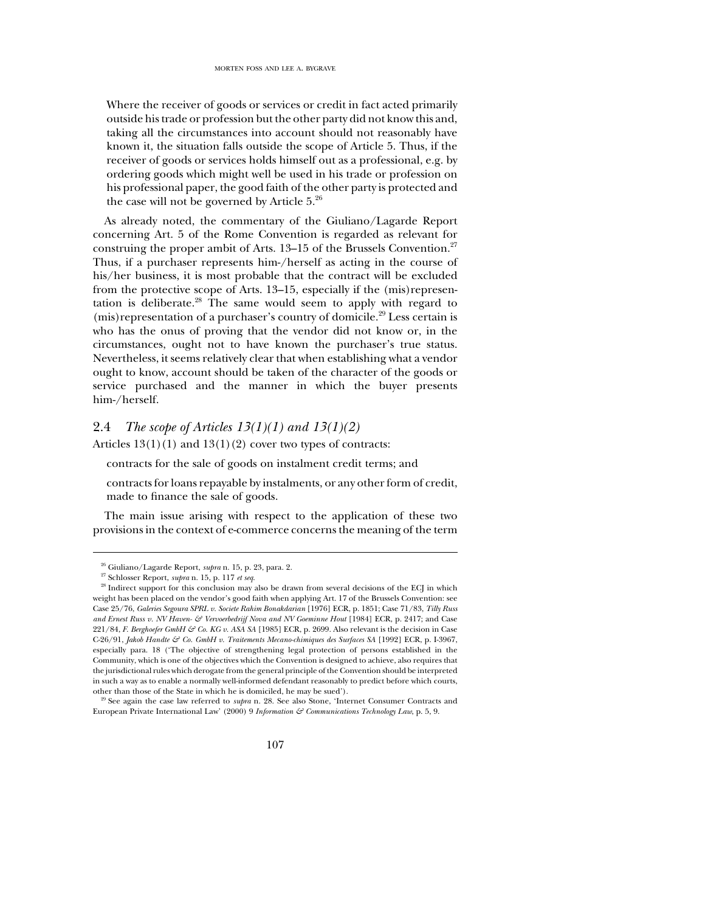Where the receiver of goods or services or credit in fact acted primarily outside his trade or profession but the other party did not know this and, taking all the circumstances into account should not reasonably have known it, the situation falls outside the scope of Article 5. Thus, if the receiver of goods or services holds himself out as a professional, e.g. by ordering goods which might well be used in his trade or profession on his professional paper, the good faith of the other party is protected and the case will not be governed by Article 5.26

As already noted, the commentary of the Giuliano/Lagarde Report concerning Art. 5 of the Rome Convention is regarded as relevant for construing the proper ambit of Arts. 13-15 of the Brussels Convention.<sup>27</sup> Thus, if a purchaser represents him-/herself as acting in the course of his/her business, it is most probable that the contract will be excluded from the protective scope of Arts. 13–15, especially if the (mis)representation is deliberate. $28$  The same would seem to apply with regard to (mis) representation of a purchaser's country of domicile.<sup>29</sup> Less certain is who has the onus of proving that the vendor did not know or, in the circumstances, ought not to have known the purchaser's true status. Nevertheless, it seems relatively clear that when establishing what a vendor ought to know, account should be taken of the character of the goods or service purchased and the manner in which the buyer presents him-/herself.

#### 2.4 *The scope of Articles 13(1)(1) and 13(1)(2)*

Articles  $13(1)(1)$  and  $13(1)(2)$  cover two types of contracts:

contracts for the sale of goods on instalment credit terms; and

contracts for loans repayable by instalments, or any other form of credit, made to finance the sale of goods.

The main issue arising with respect to the application of these two provisions in the context of e-commerce concerns the meaning of the term

<sup>26</sup> Giuliano/Lagarde Report, *supra* n. 15, p. 23, para. 2.

<sup>27</sup> Schlosser Report, *supra* n. 15, p. 117 *et seq*.

<sup>&</sup>lt;sup>28</sup> Indirect support for this conclusion may also be drawn from several decisions of the ECJ in which weight has been placed on the vendor's good faith when applying Art. 17 of the Brussels Convention: see Case 25/76, *Galeries Segoura SPRL v. Societe Rahim Bonakdarian* [1976] ECR, p. 1851; Case 71/83, *Tilly Russ and Ernest Russ v. NV Haven- & Vervoerbedrijf Nova and NV Goeminne Hout* [1984] ECR, p. 2417; and Case 221/84, *F. Berghoefer GmbH & Co. KG v. ASA SA* [1985] ECR, p. 2699. Also relevant is the decision in Case C-26/91, *Jakob Handte & Co. GmbH v. Traitements Mecano-chimiques des Surfaces SA* [1992] ECR, p. I-3967, especially para. 18 ('The objective of strengthening legal protection of persons established in the Community, which is one of the objectives which the Convention is designed to achieve, also requires that the jurisdictional rules which derogate from the general principle of the Convention should be interpreted in such a way as to enable a normally well-informed defendant reasonably to predict before which courts, other than those of the State in which he is domiciled, he may be sued').

<sup>29</sup> See again the case law referred to *supra* n. 28. See also Stone, 'Internet Consumer Contracts and European Private International Law' (2000) 9 *Information & Communications Technology Law*, p. 5, 9.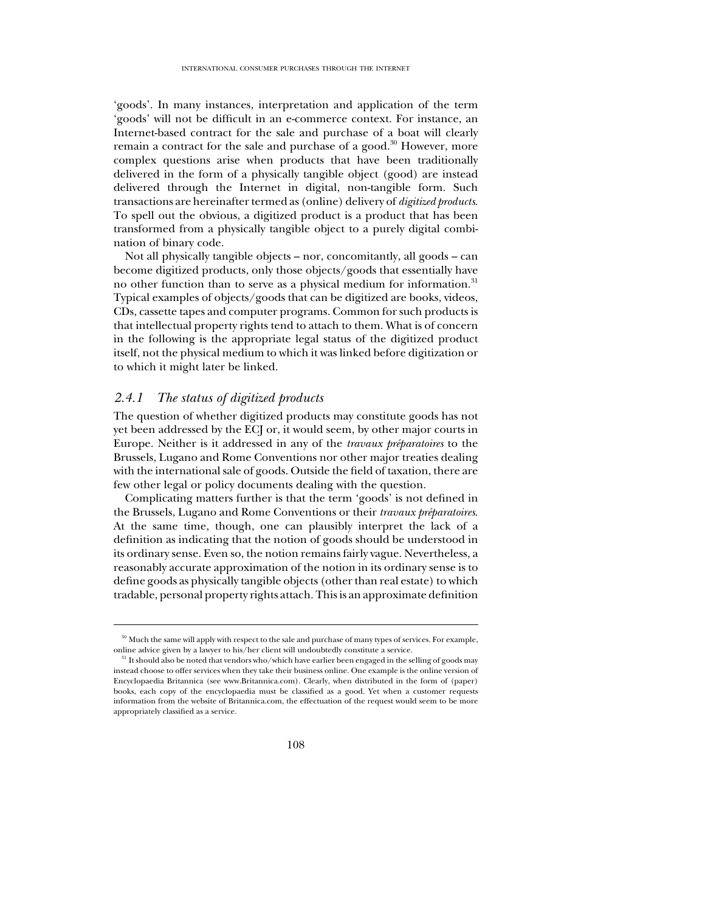'goods'. In many instances, interpretation and application of the term 'goods' will not be difficult in an e-commerce context. For instance, an Internet-based contract for the sale and purchase of a boat will clearly remain a contract for the sale and purchase of a good.<sup>30</sup> However, more complex questions arise when products that have been traditionally delivered in the form of a physically tangible object (good) are instead delivered through the Internet in digital, non-tangible form. Such transactions are hereinafter termed as (online) delivery of *digitized products*. To spell out the obvious, a digitized product is a product that has been transformed from a physically tangible object to a purely digital combination of binary code.

Not all physically tangible objects – nor, concomitantly, all goods – can become digitized products, only those objects/goods that essentially have no other function than to serve as a physical medium for information.<sup>31</sup> Typical examples of objects/goods that can be digitized are books, videos, CDs, cassette tapes and computer programs. Common for such products is that intellectual property rights tend to attach to them. What is of concern in the following is the appropriate legal status of the digitized product itself, not the physical medium to which it was linked before digitization or to which it might later be linked.

#### *2.4.1 The status of digitized products*

The question of whether digitized products may constitute goods has not yet been addressed by the ECJ or, it would seem, by other major courts in Europe. Neither is it addressed in any of the *travaux préparatoires* to the Brussels, Lugano and Rome Conventions nor other major treaties dealing with the international sale of goods. Outside the field of taxation, there are few other legal or policy documents dealing with the question.

Complicating matters further is that the term 'goods' is not defined in the Brussels, Lugano and Rome Conventions or their *travaux préparatoires*. At the same time, though, one can plausibly interpret the lack of a definition as indicating that the notion of goods should be understood in its ordinary sense. Even so, the notion remains fairly vague. Nevertheless, a reasonably accurate approximation of the notion in its ordinary sense is to define goods as physically tangible objects (other than real estate) to which tradable, personal property rights attach. This is an approximate definition

 $30$  Much the same will apply with respect to the sale and purchase of many types of services. For example, online advice given by a lawyer to his/her client will undoubtedly constitute a service.

<sup>&</sup>lt;sup>31</sup> It should also be noted that vendors who/which have earlier been engaged in the selling of goods may instead choose to offer services when they take their business online. One example is the online version of Encyclopaedia Britannica (see www.Britannica.com). Clearly, when distributed in the form of (paper) books, each copy of the encyclopaedia must be classified as a good. Yet when a customer requests information from the website of Britannica.com, the effectuation of the request would seem to be more appropriately classified as a service.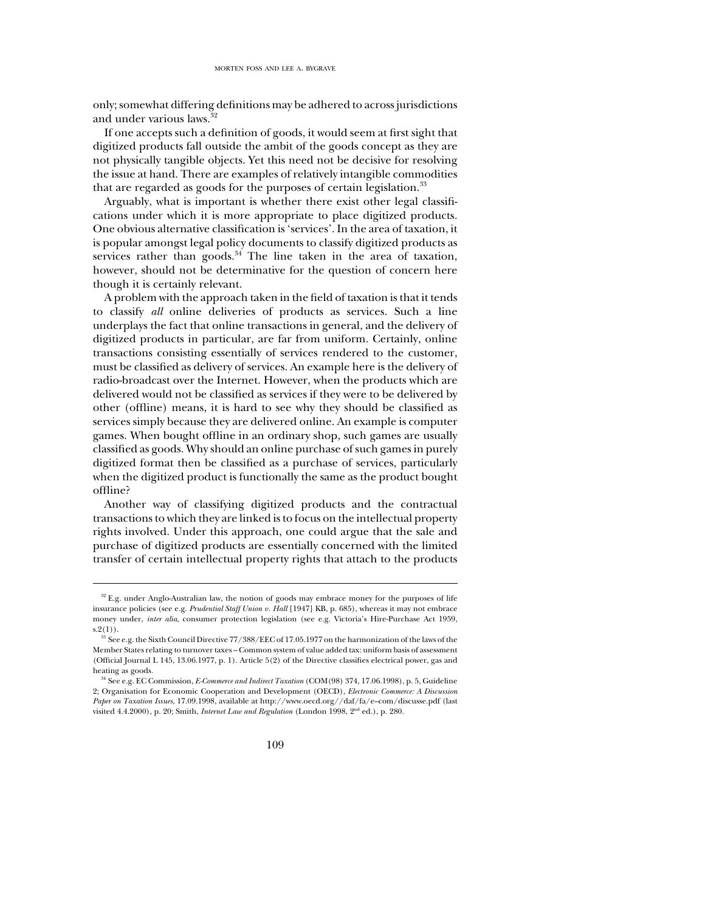only; somewhat differing definitions may be adhered to across jurisdictions and under various laws.<sup>3</sup>

If one accepts such a definition of goods, it would seem at first sight that digitized products fall outside the ambit of the goods concept as they are not physically tangible objects. Yet this need not be decisive for resolving the issue at hand. There are examples of relatively intangible commodities that are regarded as goods for the purposes of certain legislation.<sup>33</sup>

Arguably, what is important is whether there exist other legal classifications under which it is more appropriate to place digitized products. One obvious alternative classification is 'services'. In the area of taxation, it is popular amongst legal policy documents to classify digitized products as services rather than goods. $34$  The line taken in the area of taxation, however, should not be determinative for the question of concern here though it is certainly relevant.

A problem with the approach taken in the field of taxation is that it tends to classify *all* online deliveries of products as services. Such a line underplays the fact that online transactions in general, and the delivery of digitized products in particular, are far from uniform. Certainly, online transactions consisting essentially of services rendered to the customer, must be classified as delivery of services. An example here is the delivery of radio-broadcast over the Internet. However, when the products which are delivered would not be classified as services if they were to be delivered by other (offline) means, it is hard to see why they should be classified as services simply because they are delivered online. An example is computer games. When bought offline in an ordinary shop, such games are usually classified as goods. Why should an online purchase of such games in purely digitized format then be classified as a purchase of services, particularly when the digitized product is functionally the same as the product bought offline?

Another way of classifying digitized products and the contractual transactions to which they are linked is to focus on the intellectual property rights involved. Under this approach, one could argue that the sale and purchase of digitized products are essentially concerned with the limited transfer of certain intellectual property rights that attach to the products

<sup>&</sup>lt;sup>32</sup> E.g. under Anglo-Australian law, the notion of goods may embrace money for the purposes of life insurance policies (see e.g. *Prudential Staff Union v. Hall* [1947] KB, p. 685), whereas it may not embrace money under, *inter alia*, consumer protection legislation (see e.g. Victoria's Hire-Purchase Act 1959,  $s.2(1)$ .

 $^{33}$  See e.g. the Sixth Council Directive  $77/388/EEC$  of 17.05.1977 on the harmonization of the laws of the Member States relating to turnover taxes – Common system of value added tax: uniform basis of assessment (Official Journal L 145, 13.06.1977, p. 1). Article 5(2) of the Directive classifies electrical power, gas and heating as goods.

<sup>34</sup> See e.g. EC Commission, *E-Commerce and Indirect Taxation* (COM(98) 374, 17.06.1998), p. 5, Guideline 2; Organisation for Economic Cooperation and Development (OECD), *Electronic Commerce: A Discussion Paper on Taxation Issues*, 17.09.1998, available at http://www.oecd.org//daf/fa/e–com/discusse.pdf (last visited 4.4.2000), p. 20; Smith, *Internet Law and Regulation* (London 1998, 2nd ed.), p. 280.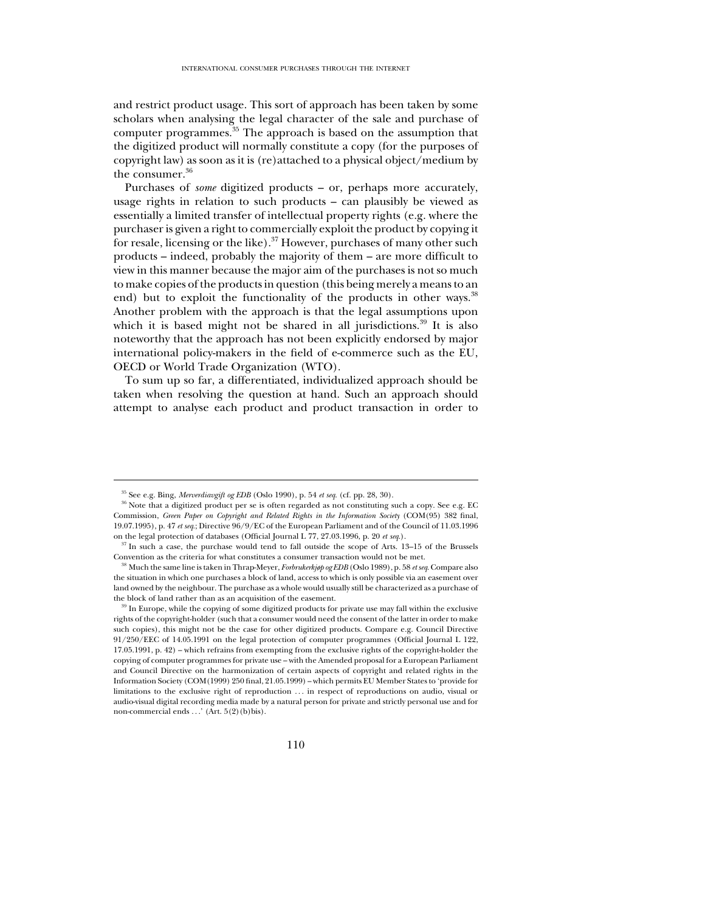and restrict product usage. This sort of approach has been taken by some scholars when analysing the legal character of the sale and purchase of computer programmes.<sup>35</sup> The approach is based on the assumption that the digitized product will normally constitute a copy (for the purposes of copyright law) as soon as it is (re)attached to a physical object/medium by the consumer.<sup>36</sup>

Purchases of *some* digitized products – or, perhaps more accurately, usage rights in relation to such products – can plausibly be viewed as essentially a limited transfer of intellectual property rights (e.g. where the purchaser is given a right to commercially exploit the product by copying it for resale, licensing or the like).<sup>37</sup> However, purchases of many other such products – indeed, probably the majority of them – are more difficult to view in this manner because the major aim of the purchases is not so much to make copies of the products in question (this being merely a means to an end) but to exploit the functionality of the products in other ways.<sup>38</sup> Another problem with the approach is that the legal assumptions upon which it is based might not be shared in all jurisdictions.<sup>39</sup> It is also noteworthy that the approach has not been explicitly endorsed by major international policy-makers in the field of e-commerce such as the EU, OECD or World Trade Organization (WTO).

To sum up so far, a differentiated, individualized approach should be taken when resolving the question at hand. Such an approach should attempt to analyse each product and product transaction in order to

<sup>35</sup> See e.g. Bing, *Merverdiavgift og EDB* (Oslo 1990), p. 54 *et seq*. (cf. pp. 28, 30).

<sup>&</sup>lt;sup>36</sup> Note that a digitized product per se is often regarded as not constituting such a copy. See e.g. EC Commission, *Green Paper on Copyright and Related Rights in the Information Society* (COM(95) 382 final, 19.07.1995), p. 47 *et seq*.; Directive 96/9/EC of the European Parliament and of the Council of 11.03.1996 on the legal protection of databases (Official Journal L 77, 27.03.1996, p. 20 *et seq*.).

<sup>&</sup>lt;sup>37</sup> In such a case, the purchase would tend to fall outside the scope of Arts. 13–15 of the Brussels Convention as the criteria for what constitutes a consumer transaction would not be met.

<sup>38</sup> Much the same line is taken in Thrap-Meyer, *Forbrukerkjøp og EDB* (Oslo 1989), p. 58 *et seq*. Compare also the situation in which one purchases a block of land, access to which is only possible via an easement over land owned by the neighbour. The purchase as a whole would usually still be characterized as a purchase of the block of land rather than as an acquisition of the easement.

 $^9$  In Europe, while the copying of some digitized products for private use may fall within the exclusive rights of the copyright-holder (such that a consumer would need the consent of the latter in order to make such copies), this might not be the case for other digitized products. Compare e.g. Council Directive 91/250/EEC of 14.05.1991 on the legal protection of computer programmes (Official Journal L 122, 17.05.1991, p. 42) – which refrains from exempting from the exclusive rights of the copyright-holder the copying of computer programmes for private use – with the Amended proposal for a European Parliament and Council Directive on the harmonization of certain aspects of copyright and related rights in the Information Society (COM(1999) 250 final, 21.05.1999) – which permits EU Member States to 'provide for limitations to the exclusive right of reproduction ... in respect of reproductions on audio, visual or audio-visual digital recording media made by a natural person for private and strictly personal use and for non-commercial ends ...' (Art. 5(2)(b)bis).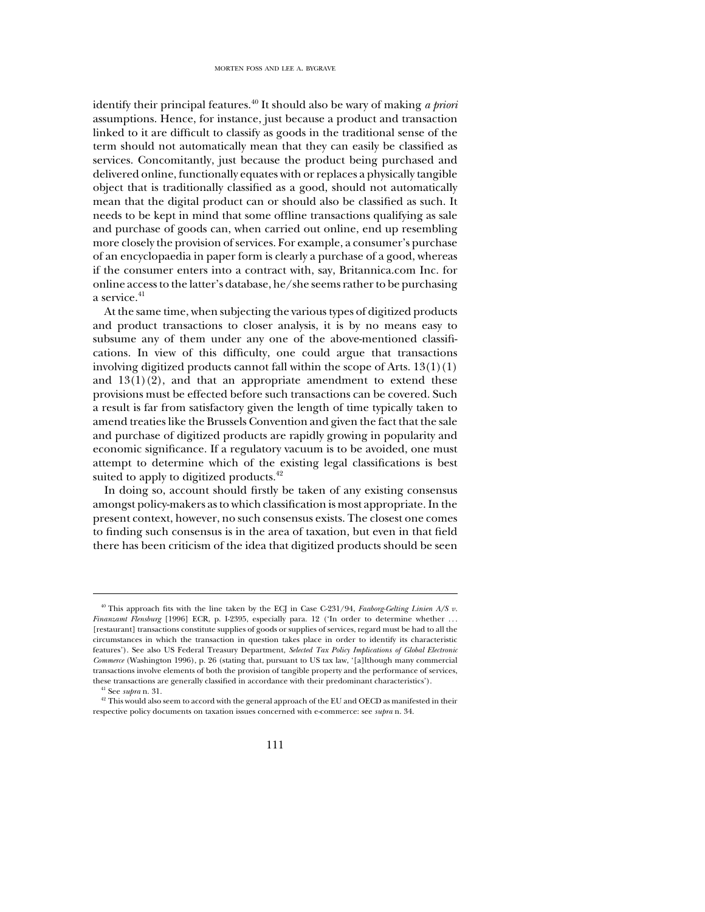identify their principal features.40 It should also be wary of making *a priori* assumptions. Hence, for instance, just because a product and transaction linked to it are difficult to classify as goods in the traditional sense of the term should not automatically mean that they can easily be classified as services. Concomitantly, just because the product being purchased and delivered online, functionally equates with or replaces a physically tangible object that is traditionally classified as a good, should not automatically mean that the digital product can or should also be classified as such. It needs to be kept in mind that some offline transactions qualifying as sale and purchase of goods can, when carried out online, end up resembling more closely the provision of services. For example, a consumer's purchase of an encyclopaedia in paper form is clearly a purchase of a good, whereas if the consumer enters into a contract with, say, Britannica.com Inc. for online access to the latter's database, he/she seems rather to be purchasing a service.<sup>41</sup>

At the same time, when subjecting the various types of digitized products and product transactions to closer analysis, it is by no means easy to subsume any of them under any one of the above-mentioned classifications. In view of this difficulty, one could argue that transactions involving digitized products cannot fall within the scope of Arts.  $13(1)(1)$ and  $13(1)(2)$ , and that an appropriate amendment to extend these provisions must be effected before such transactions can be covered. Such a result is far from satisfactory given the length of time typically taken to amend treaties like the Brussels Convention and given the fact that the sale and purchase of digitized products are rapidly growing in popularity and economic significance. If a regulatory vacuum is to be avoided, one must attempt to determine which of the existing legal classifications is best suited to apply to digitized products. $42$ 

In doing so, account should firstly be taken of any existing consensus amongst policy-makers as to which classification is most appropriate. In the present context, however, no such consensus exists. The closest one comes to finding such consensus is in the area of taxation, but even in that field there has been criticism of the idea that digitized products should be seen

<sup>40</sup> This approach fits with the line taken by the ECJ in Case C-231/94, *Faaborg-Gelting Linien A/S v. Finanzamt Flensburg* [1996] ECR, p. I-2395, especially para. 12 ('In order to determine whether [restaurant] transactions constitute supplies of goods or supplies of services, regard must be had to all the circumstances in which the transaction in question takes place in order to identify its characteristic features'). See also US Federal Treasury Department, *Selected Tax Policy Implications of Global Electronic Commerce* (Washington 1996), p. 26 (stating that, pursuant to US tax law, '[a]lthough many commercial transactions involve elements of both the provision of tangible property and the performance of services, these transactions are generally classified in accordance with their predominant characteristics').

<sup>41</sup> See *supra* n. 31.

<sup>&</sup>lt;sup>42</sup> This would also seem to accord with the general approach of the EU and OECD as manifested in their respective policy documents on taxation issues concerned with e-commerce: see *supra* n. 34.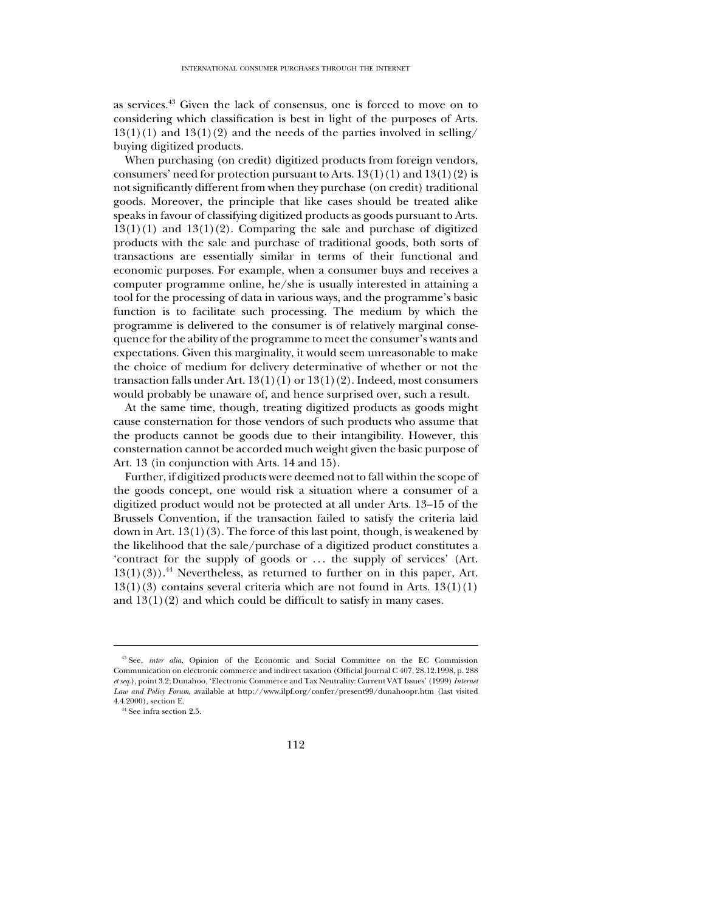as services.43 Given the lack of consensus, one is forced to move on to considering which classification is best in light of the purposes of Arts.  $13(1)(1)$  and  $13(1)(2)$  and the needs of the parties involved in selling/ buying digitized products.

When purchasing (on credit) digitized products from foreign vendors, consumers' need for protection pursuant to Arts.  $13(1)(1)$  and  $13(1)(2)$  is not significantly different from when they purchase (on credit) traditional goods. Moreover, the principle that like cases should be treated alike speaks in favour of classifying digitized products as goods pursuant to Arts.  $13(1)(1)$  and  $13(1)(2)$ . Comparing the sale and purchase of digitized products with the sale and purchase of traditional goods, both sorts of transactions are essentially similar in terms of their functional and economic purposes. For example, when a consumer buys and receives a computer programme online, he/she is usually interested in attaining a tool for the processing of data in various ways, and the programme's basic function is to facilitate such processing. The medium by which the programme is delivered to the consumer is of relatively marginal consequence for the ability of the programme to meet the consumer's wants and expectations. Given this marginality, it would seem unreasonable to make the choice of medium for delivery determinative of whether or not the transaction falls under Art.  $13(1)(1)$  or  $13(1)(2)$ . Indeed, most consumers would probably be unaware of, and hence surprised over, such a result.

At the same time, though, treating digitized products as goods might cause consternation for those vendors of such products who assume that the products cannot be goods due to their intangibility. However, this consternation cannot be accorded much weight given the basic purpose of Art. 13 (in conjunction with Arts. 14 and 15).

Further, if digitized products were deemed not to fall within the scope of the goods concept, one would risk a situation where a consumer of a digitized product would not be protected at all under Arts. 13–15 of the Brussels Convention, if the transaction failed to satisfy the criteria laid down in Art.  $13(1)(3)$ . The force of this last point, though, is weakened by the likelihood that the sale/purchase of a digitized product constitutes a 'contract for the supply of goods or . . . the supply of services' (Art.  $13(1)(3)$ .<sup>44</sup> Nevertheless, as returned to further on in this paper, Art.  $13(1)(3)$  contains several criteria which are not found in Arts.  $13(1)(1)$ and  $13(1)(2)$  and which could be difficult to satisfy in many cases.

<sup>43</sup> See, *inter alia*, Opinion of the Economic and Social Committee on the EC Commission Communication on electronic commerce and indirect taxation (Official Journal C 407, 28.12.1998, p. 288 *et seq*.), point 3.2; Dunahoo, 'Electronic Commerce and Tax Neutrality: Current VAT Issues' (1999) *Internet Law and Policy Forum*, available at http://www.ilpf.org/confer/present99/dunahoopr.htm (last visited 4.4.2000), section E.

<sup>44</sup> See infra section 2.5.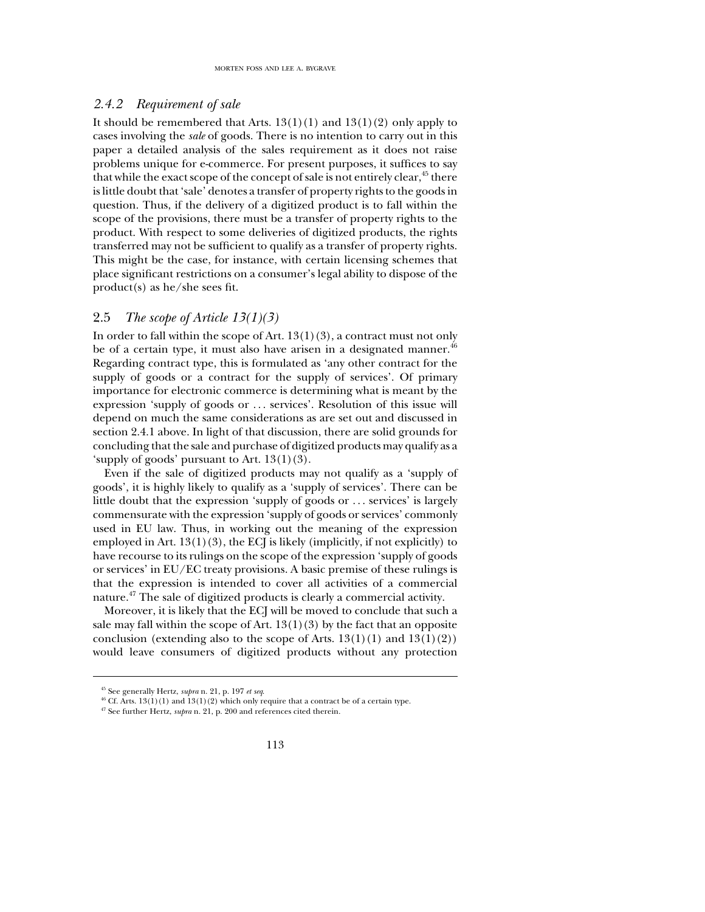#### *2.4.2 Requirement of sale*

It should be remembered that Arts.  $13(1)(1)$  and  $13(1)(2)$  only apply to cases involving the *sale* of goods. There is no intention to carry out in this paper a detailed analysis of the sales requirement as it does not raise problems unique for e-commerce. For present purposes, it suffices to say that while the exact scope of the concept of sale is not entirely clear,  $45$  there is little doubt that 'sale' denotes a transfer of property rights to the goods in question. Thus, if the delivery of a digitized product is to fall within the scope of the provisions, there must be a transfer of property rights to the product. With respect to some deliveries of digitized products, the rights transferred may not be sufficient to qualify as a transfer of property rights. This might be the case, for instance, with certain licensing schemes that place significant restrictions on a consumer's legal ability to dispose of the product(s) as he/she sees fit.

#### 2.5 *The scope of Article 13(1)(3)*

In order to fall within the scope of Art.  $13(1)(3)$ , a contract must not only be of a certain type, it must also have arisen in a designated manner.<sup>46</sup> Regarding contract type, this is formulated as 'any other contract for the supply of goods or a contract for the supply of services'. Of primary importance for electronic commerce is determining what is meant by the expression 'supply of goods or . . . services'. Resolution of this issue will depend on much the same considerations as are set out and discussed in section 2.4.1 above. In light of that discussion, there are solid grounds for concluding that the sale and purchase of digitized products may qualify as a 'supply of goods' pursuant to Art. 13(1)(3).

Even if the sale of digitized products may not qualify as a 'supply of goods', it is highly likely to qualify as a 'supply of services'. There can be little doubt that the expression 'supply of goods or . . . services' is largely commensurate with the expression 'supply of goods or services' commonly used in EU law. Thus, in working out the meaning of the expression employed in Art. 13(1)(3), the ECJ is likely (implicitly, if not explicitly) to have recourse to its rulings on the scope of the expression 'supply of goods or services' in EU/EC treaty provisions. A basic premise of these rulings is that the expression is intended to cover all activities of a commercial nature.<sup>47</sup> The sale of digitized products is clearly a commercial activity.

Moreover, it is likely that the ECJ will be moved to conclude that such a sale may fall within the scope of Art.  $13(1)(3)$  by the fact that an opposite conclusion (extending also to the scope of Arts.  $13(1)(1)$  and  $13(1)(2)$ ) would leave consumers of digitized products without any protection

<sup>45</sup> See generally Hertz, *supra* n. 21, p. 197 *et seq*.

 $46$  Cf. Arts.  $13(1)(1)$  and  $13(1)(2)$  which only require that a contract be of a certain type.

<sup>47</sup> See further Hertz, *supra* n. 21, p. 200 and references cited therein.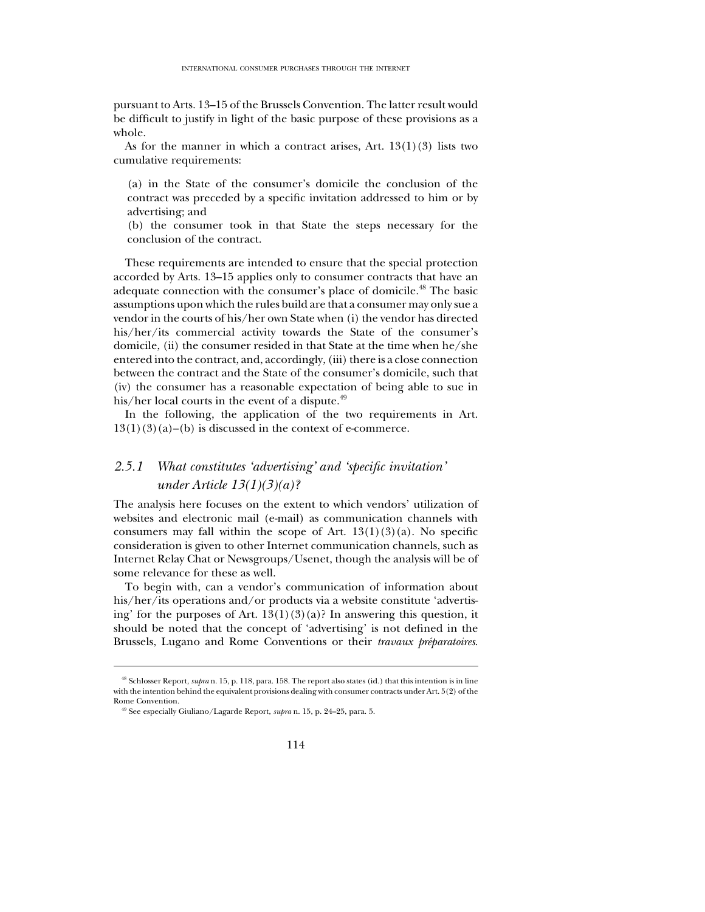pursuant to Arts. 13–15 of the Brussels Convention. The latter result would be difficult to justify in light of the basic purpose of these provisions as a whole.

As for the manner in which a contract arises, Art.  $13(1)(3)$  lists two cumulative requirements:

(a) in the State of the consumer's domicile the conclusion of the contract was preceded by a specific invitation addressed to him or by advertising; and

(b) the consumer took in that State the steps necessary for the conclusion of the contract.

These requirements are intended to ensure that the special protection accorded by Arts. 13–15 applies only to consumer contracts that have an adequate connection with the consumer's place of domicile.<sup>48</sup> The basic assumptions upon which the rules build are that a consumer may only sue a vendor in the courts of his/her own State when (i) the vendor has directed his/her/its commercial activity towards the State of the consumer's domicile, (ii) the consumer resided in that State at the time when he/she entered into the contract, and, accordingly, (iii) there is a close connection between the contract and the State of the consumer's domicile, such that (iv) the consumer has a reasonable expectation of being able to sue in his/her local courts in the event of a dispute. $49$ 

In the following, the application of the two requirements in Art.  $13(1)(3)(a)$ –(b) is discussed in the context of e-commerce.

## *2.5.1 What constitutes 'advertising' and 'specific invitation' under Article 13(1)(3)(a)?*

The analysis here focuses on the extent to which vendors' utilization of websites and electronic mail (e-mail) as communication channels with consumers may fall within the scope of Art.  $13(1)(3)(a)$ . No specific consideration is given to other Internet communication channels, such as Internet Relay Chat or Newsgroups/Usenet, though the analysis will be of some relevance for these as well.

To begin with, can a vendor's communication of information about his/her/its operations and/or products via a website constitute 'advertising' for the purposes of Art.  $13(1)(3)(a)$ ? In answering this question, it should be noted that the concept of 'advertising' is not defined in the Brussels, Lugano and Rome Conventions or their *travaux préparatoires*.

<sup>48</sup> Schlosser Report, *supra* n. 15, p. 118, para. 158. The report also states (id.) that this intention is in line with the intention behind the equivalent provisions dealing with consumer contracts under Art. 5(2) of the Rome Convention.

<sup>49</sup> See especially Giuliano/Lagarde Report, *supra* n. 15, p. 24–25, para. 5.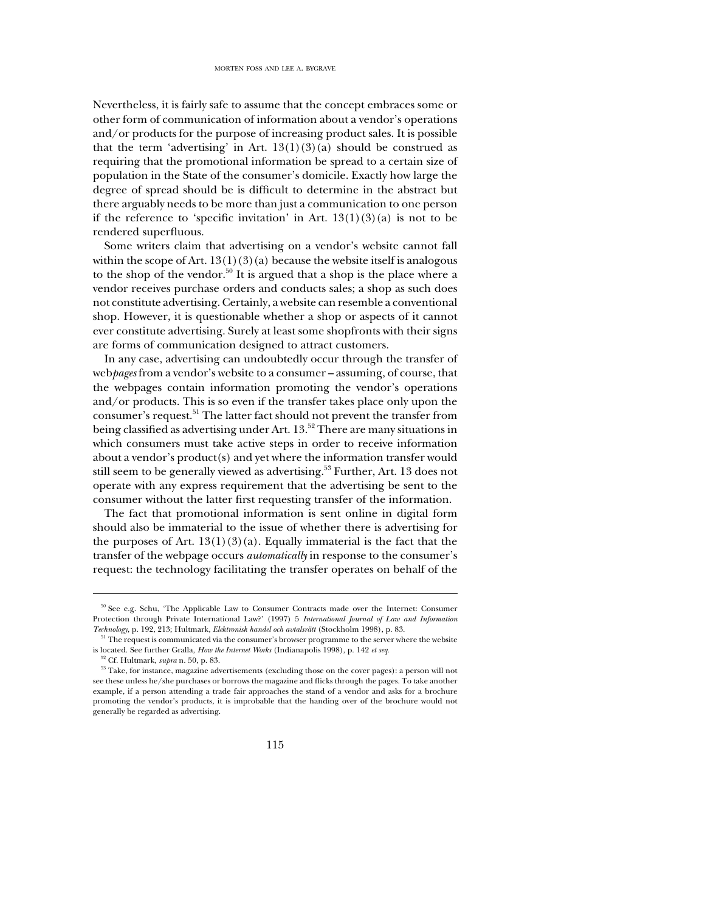Nevertheless, it is fairly safe to assume that the concept embraces some or other form of communication of information about a vendor's operations and/or products for the purpose of increasing product sales. It is possible that the term 'advertising' in Art.  $13(1)(3)(a)$  should be construed as requiring that the promotional information be spread to a certain size of population in the State of the consumer's domicile. Exactly how large the degree of spread should be is difficult to determine in the abstract but there arguably needs to be more than just a communication to one person if the reference to 'specific invitation' in Art.  $13(1)(3)(a)$  is not to be rendered superfluous.

Some writers claim that advertising on a vendor's website cannot fall within the scope of Art.  $13(1)(3)(a)$  because the website itself is analogous to the shop of the vendor.<sup>50</sup> It is argued that a shop is the place where a vendor receives purchase orders and conducts sales; a shop as such does not constitute advertising. Certainly, a website can resemble a conventional shop. However, it is questionable whether a shop or aspects of it cannot ever constitute advertising. Surely at least some shopfronts with their signs are forms of communication designed to attract customers.

In any case, advertising can undoubtedly occur through the transfer of web*pages* from a vendor's website to a consumer – assuming, of course, that the webpages contain information promoting the vendor's operations and/or products. This is so even if the transfer takes place only upon the consumer's request.51 The latter fact should not prevent the transfer from being classified as advertising under Art. 13.<sup>52</sup> There are many situations in which consumers must take active steps in order to receive information about a vendor's product(s) and yet where the information transfer would still seem to be generally viewed as advertising.<sup>53</sup> Further, Art. 13 does not operate with any express requirement that the advertising be sent to the consumer without the latter first requesting transfer of the information.

The fact that promotional information is sent online in digital form should also be immaterial to the issue of whether there is advertising for the purposes of Art.  $13(1)(3)(a)$ . Equally immaterial is the fact that the transfer of the webpage occurs *automatically* in response to the consumer's request: the technology facilitating the transfer operates on behalf of the

<sup>50</sup> See e.g. Schu, 'The Applicable Law to Consumer Contracts made over the Internet: Consumer Protection through Private International Law?' (1997) 5 *International Journal of Law and Information Technology*, p. 192, 213; Hultmark, *Elektronisk handel och avtalsrätt* (Stockholm 1998), p. 83.

<sup>&</sup>lt;sup>51</sup> The request is communicated via the consumer's browser programme to the server where the website is located. See further Gralla, *How the Internet Works* (Indianapolis 1998), p. 142 *et seq*.

<sup>52</sup> Cf. Hultmark, *supra* n. 50, p. 83.

<sup>&</sup>lt;sup>53</sup> Take, for instance, magazine advertisements (excluding those on the cover pages): a person will not see these unless he/she purchases or borrows the magazine and flicks through the pages. To take another example, if a person attending a trade fair approaches the stand of a vendor and asks for a brochure promoting the vendor's products, it is improbable that the handing over of the brochure would not generally be regarded as advertising.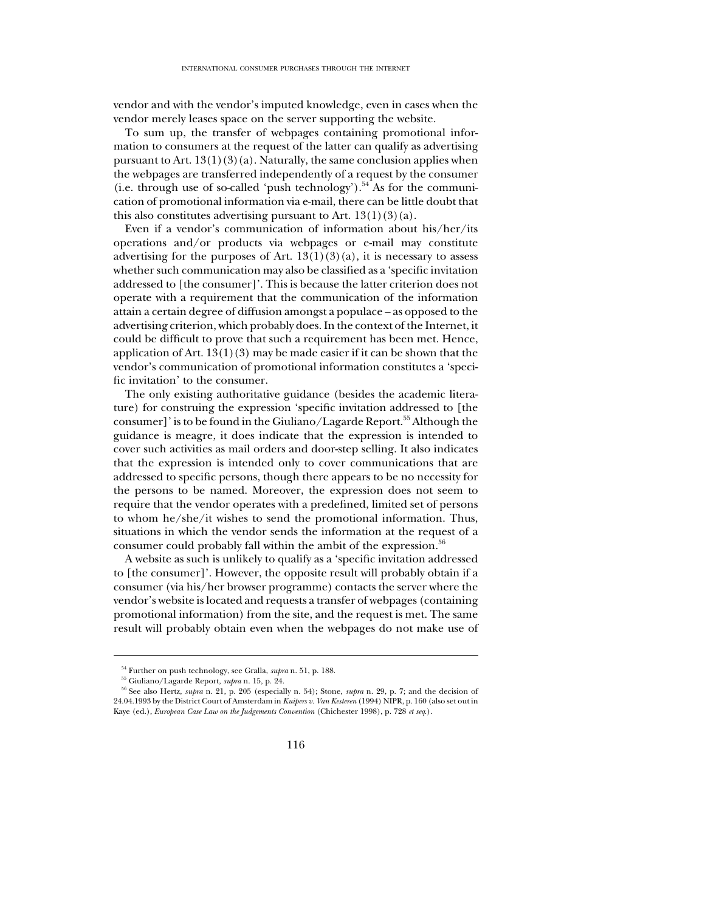vendor and with the vendor's imputed knowledge, even in cases when the vendor merely leases space on the server supporting the website.

To sum up, the transfer of webpages containing promotional information to consumers at the request of the latter can qualify as advertising pursuant to Art.  $13(1)(3)(a)$ . Naturally, the same conclusion applies when the webpages are transferred independently of a request by the consumer (i.e. through use of so-called 'push technology').<sup>54</sup> As for the communication of promotional information via e-mail, there can be little doubt that this also constitutes advertising pursuant to Art.  $13(1)(3)(a)$ .

Even if a vendor's communication of information about his/her/its operations and/or products via webpages or e-mail may constitute advertising for the purposes of Art.  $13(1)(3)(a)$ , it is necessary to assess whether such communication may also be classified as a 'specific invitation addressed to [the consumer]'. This is because the latter criterion does not operate with a requirement that the communication of the information attain a certain degree of diffusion amongst a populace – as opposed to the advertising criterion, which probably does. In the context of the Internet, it could be difficult to prove that such a requirement has been met. Hence, application of Art.  $13(1)(3)$  may be made easier if it can be shown that the vendor's communication of promotional information constitutes a 'specific invitation' to the consumer.

The only existing authoritative guidance (besides the academic literature) for construing the expression 'specific invitation addressed to [the consumer]' is to be found in the Giuliano/Lagarde Report.55 Although the guidance is meagre, it does indicate that the expression is intended to cover such activities as mail orders and door-step selling. It also indicates that the expression is intended only to cover communications that are addressed to specific persons, though there appears to be no necessity for the persons to be named. Moreover, the expression does not seem to require that the vendor operates with a predefined, limited set of persons to whom he/she/it wishes to send the promotional information. Thus, situations in which the vendor sends the information at the request of a consumer could probably fall within the ambit of the expression.<sup>56</sup>

A website as such is unlikely to qualify as a 'specific invitation addressed to [the consumer]'. However, the opposite result will probably obtain if a consumer (via his/her browser programme) contacts the server where the vendor's website is located and requests a transfer of webpages (containing promotional information) from the site, and the request is met. The same result will probably obtain even when the webpages do not make use of

<sup>54</sup> Further on push technology, see Gralla, *supra* n. 51, p. 188.

<sup>55</sup> Giuliano/Lagarde Report, *supra* n. 15, p. 24.

<sup>56</sup> See also Hertz, *supra* n. 21, p. 205 (especially n. 54); Stone, *supra* n. 29, p. 7; and the decision of 24.04.1993 by the District Court of Amsterdam in *Kuipers v. Van Kesteren* (1994) NIPR, p. 160 (also set out in Kaye (ed.), *European Case Law on the Judgements Convention* (Chichester 1998), p. 728 *et seq*.).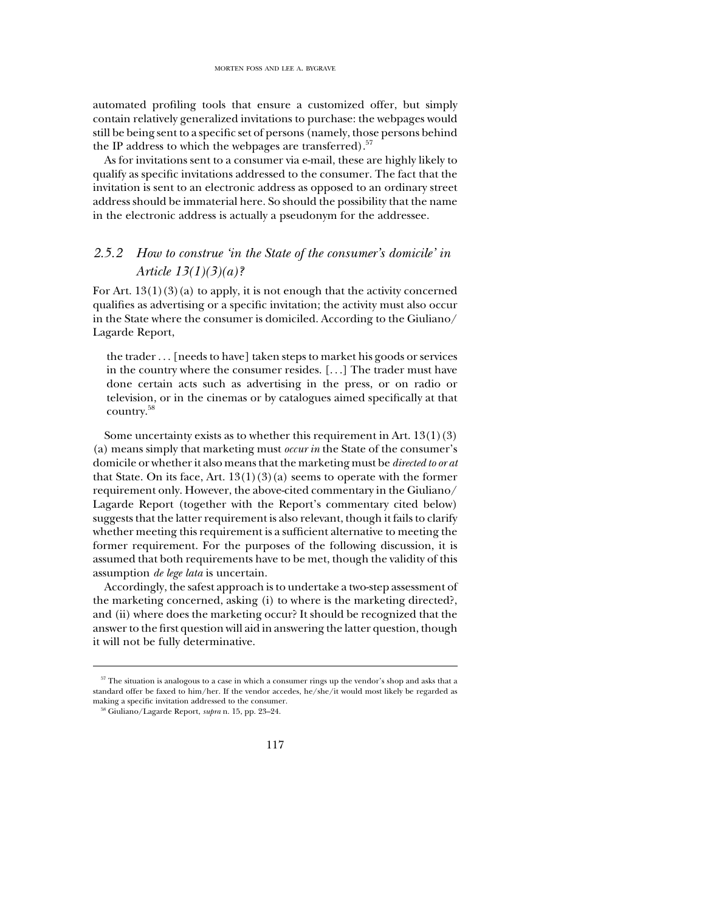automated profiling tools that ensure a customized offer, but simply contain relatively generalized invitations to purchase: the webpages would still be being sent to a specific set of persons (namely, those persons behind the IP address to which the webpages are transferred). $57$ 

As for invitations sent to a consumer via e-mail, these are highly likely to qualify as specific invitations addressed to the consumer. The fact that the invitation is sent to an electronic address as opposed to an ordinary street address should be immaterial here. So should the possibility that the name in the electronic address is actually a pseudonym for the addressee.

## *2.5.2 How to construe 'in the State of the consumer's domicile' in Article 13(1)(3)(a)?*

For Art.  $13(1)(3)(a)$  to apply, it is not enough that the activity concerned qualifies as advertising or a specific invitation; the activity must also occur in the State where the consumer is domiciled. According to the Giuliano/ Lagarde Report,

the trader . . . [needs to have] taken steps to market his goods or services in the country where the consumer resides. [. . .] The trader must have done certain acts such as advertising in the press, or on radio or television, or in the cinemas or by catalogues aimed specifically at that country.58

Some uncertainty exists as to whether this requirement in Art.  $13(1)(3)$ (a) means simply that marketing must *occur in* the State of the consumer's domicile or whether it also means that the marketing must be *directed to or at* that State. On its face, Art.  $13(1)(3)(a)$  seems to operate with the former requirement only. However, the above-cited commentary in the Giuliano/ Lagarde Report (together with the Report's commentary cited below) suggests that the latter requirement is also relevant, though it fails to clarify whether meeting this requirement is a sufficient alternative to meeting the former requirement. For the purposes of the following discussion, it is assumed that both requirements have to be met, though the validity of this assumption *de lege lata* is uncertain.

Accordingly, the safest approach is to undertake a two-step assessment of the marketing concerned, asking (i) to where is the marketing directed?, and (ii) where does the marketing occur? It should be recognized that the answer to the first question will aid in answering the latter question, though it will not be fully determinative.

 $\boldsymbol{^{57}}$  The situation is analogous to a case in which a consumer rings up the vendor's shop and asks that a standard offer be faxed to him/her. If the vendor accedes, he/she/it would most likely be regarded as making a specific invitation addressed to the consumer.

<sup>58</sup> Giuliano/Lagarde Report, *supra* n. 15, pp. 23–24.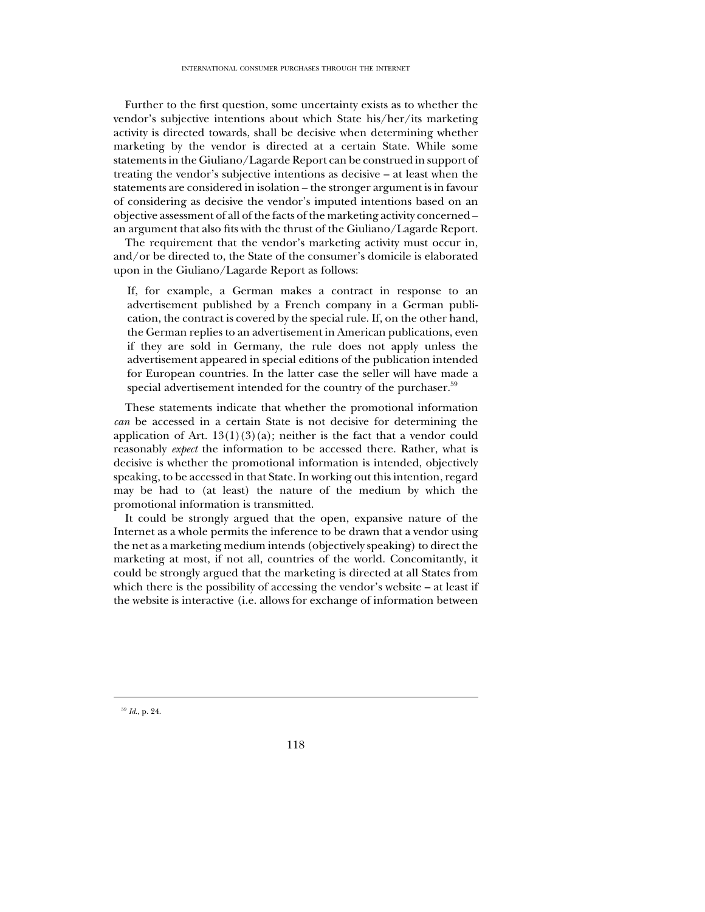Further to the first question, some uncertainty exists as to whether the vendor's subjective intentions about which State his/her/its marketing activity is directed towards, shall be decisive when determining whether marketing by the vendor is directed at a certain State. While some statements in the Giuliano/Lagarde Report can be construed in support of treating the vendor's subjective intentions as decisive – at least when the statements are considered in isolation – the stronger argument is in favour of considering as decisive the vendor's imputed intentions based on an objective assessment of all of the facts of the marketing activity concerned – an argument that also fits with the thrust of the Giuliano/Lagarde Report.

The requirement that the vendor's marketing activity must occur in, and/or be directed to, the State of the consumer's domicile is elaborated upon in the Giuliano/Lagarde Report as follows:

If, for example, a German makes a contract in response to an advertisement published by a French company in a German publication, the contract is covered by the special rule. If, on the other hand, the German replies to an advertisement in American publications, even if they are sold in Germany, the rule does not apply unless the advertisement appeared in special editions of the publication intended for European countries. In the latter case the seller will have made a special advertisement intended for the country of the purchaser.<sup>59</sup>

These statements indicate that whether the promotional information *can* be accessed in a certain State is not decisive for determining the application of Art.  $13(1)(3)(a)$ ; neither is the fact that a vendor could reasonably *expect* the information to be accessed there. Rather, what is decisive is whether the promotional information is intended, objectively speaking, to be accessed in that State. In working out this intention, regard may be had to (at least) the nature of the medium by which the promotional information is transmitted.

It could be strongly argued that the open, expansive nature of the Internet as a whole permits the inference to be drawn that a vendor using the net as a marketing medium intends (objectively speaking) to direct the marketing at most, if not all, countries of the world. Concomitantly, it could be strongly argued that the marketing is directed at all States from which there is the possibility of accessing the vendor's website – at least if the website is interactive (i.e. allows for exchange of information between

<sup>59</sup> *Id*., p. 24.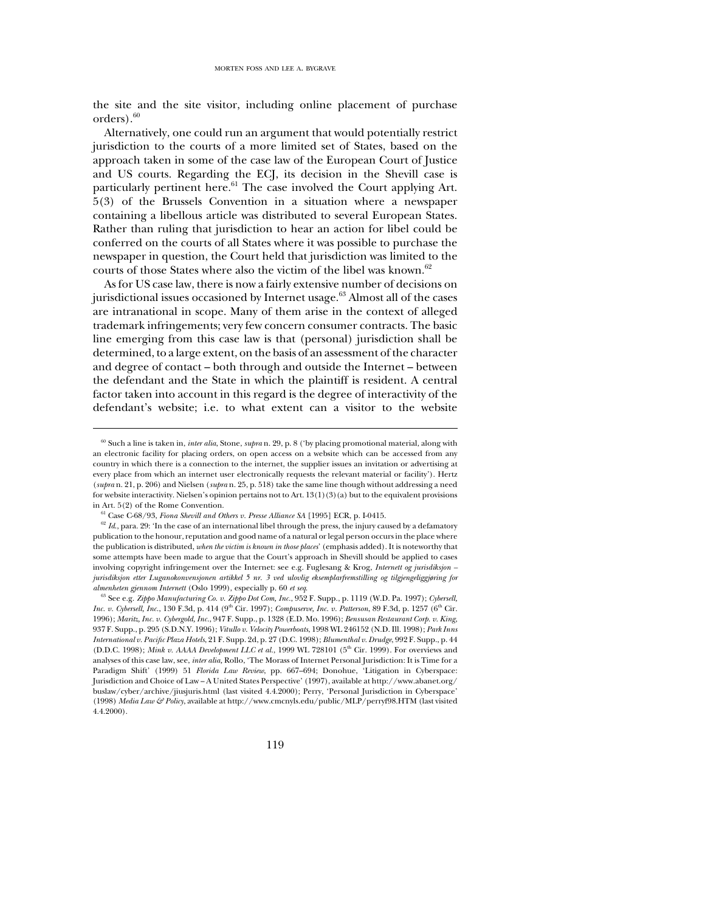the site and the site visitor, including online placement of purchase  $orders).<sup>60</sup>$ 

Alternatively, one could run an argument that would potentially restrict jurisdiction to the courts of a more limited set of States, based on the approach taken in some of the case law of the European Court of Justice and US courts. Regarding the ECJ, its decision in the Shevill case is particularly pertinent here.<sup>61</sup> The case involved the Court applying Art. 5(3) of the Brussels Convention in a situation where a newspaper containing a libellous article was distributed to several European States. Rather than ruling that jurisdiction to hear an action for libel could be conferred on the courts of all States where it was possible to purchase the newspaper in question, the Court held that jurisdiction was limited to the courts of those States where also the victim of the libel was known.<sup>62</sup>

As for US case law, there is now a fairly extensive number of decisions on jurisdictional issues occasioned by Internet usage.<sup>63</sup> Almost all of the cases are intranational in scope. Many of them arise in the context of alleged trademark infringements; very few concern consumer contracts. The basic line emerging from this case law is that (personal) jurisdiction shall be determined, to a large extent, on the basis of an assessment of the character and degree of contact – both through and outside the Internet – between the defendant and the State in which the plaintiff is resident. A central factor taken into account in this regard is the degree of interactivity of the defendant's website; i.e. to what extent can a visitor to the website

<sup>60</sup> Such a line is taken in, *inter alia*, Stone, *supra* n. 29, p. 8 ('by placing promotional material, along with an electronic facility for placing orders, on open access on a website which can be accessed from any country in which there is a connection to the internet, the supplier issues an invitation or advertising at every place from which an internet user electronically requests the relevant material or facility'). Hertz (*supra* n. 21, p. 206) and Nielsen (*supra* n. 25, p. 518) take the same line though without addressing a need for website interactivity. Nielsen's opinion pertains not to Art. 13(1)(3)(a) but to the equivalent provisions in Art. 5(2) of the Rome Convention.

<sup>61</sup> Case C-68/93, *Fiona Shevill and Others v. Presse Alliance SA* [1995] ECR, p. I-0415.

<sup>&</sup>lt;sup>62</sup> *Id.*, para. 29: 'In the case of an international libel through the press, the injury caused by a defamatory publication to the honour, reputation and good name of a natural or legal person occurs in the place where the publication is distributed, *when the victim is known in those places*' (emphasis added). It is noteworthy that some attempts have been made to argue that the Court's approach in Shevill should be applied to cases involving copyright infringement over the Internet: see e.g. Fuglesang & Krog, *Internett og jurisdiksjon – jurisdiksjon etter Luganokonvensjonen artikkel 5 nr. 3 ved ulovlig eksemplarfremstilling og tilgjengeliggjøring for almenheten gjennom Internett* (Oslo 1999), especially p. 60 *et seq*.

<sup>63</sup> See e.g. *Zippo Manufacturing Co. v. Zippo Dot Com, Inc.*, 952 F. Supp., p. 1119 (W.D. Pa. 1997); *Cybersell, Inc. v. Cybersell, Inc.*, 130 F.3d, p. 414 (9<sup>th</sup> Cir. 1997); *Compuserve, Inc. v. Patterson*, 89 F.3d, p. 1257 (6<sup>th</sup> Cir. 1996); *Maritz, Inc. v. Cybergold, Inc.*, 947 F. Supp., p. 1328 (E.D. Mo. 1996); *Bensusan Restaurant Corp. v. King*, 937 F. Supp., p. 295 (S.D.N.Y. 1996); *Vitullo v. Velocity Powerboats*, 1998 WL 246152 (N.D. Ill. 1998); *Park Inns International v. Pacific Plaza Hotels*, 21 F. Supp. 2d, p. 27 (D.C. 1998); *Blumenthal v. Drudge*, 992 F. Supp., p. 44 (D.D.C. 1998); *Mink v. AAAA Development LLC et al.*, 1999 WL 728101 (5<sup>th</sup> Cir. 1999). For overviews and analyses of this case law, see, *inter alia,* Rollo, 'The Morass of Internet Personal Jurisdiction: It is Time for a Paradigm Shift' (1999) 51 *Florida Law Review*, pp. 667–694; Donohue, 'Litigation in Cyberspace: Jurisdiction and Choice of Law – A United States Perspective' (1997), available at http://www.abanet.org/ buslaw/cyber/archive/jiusjuris.html (last visited 4.4.2000); Perry, 'Personal Jurisdiction in Cyberspace' (1998) *Media Law & Policy*, available at http://www.cmcnyls.edu/public/MLP/perryf98.HTM (last visited 4.4.2000).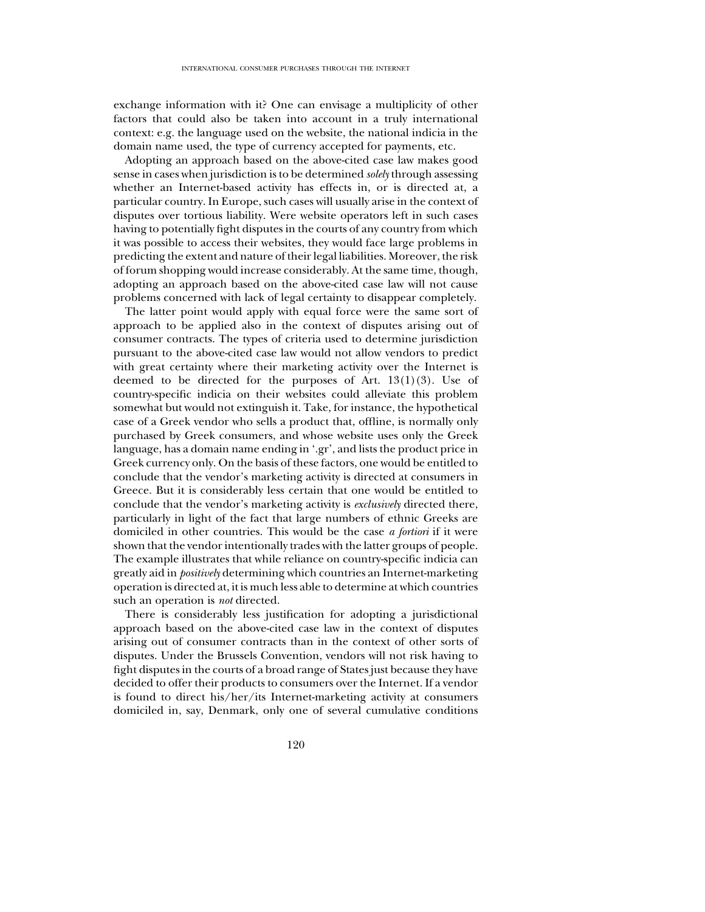exchange information with it? One can envisage a multiplicity of other factors that could also be taken into account in a truly international context: e.g. the language used on the website, the national indicia in the domain name used, the type of currency accepted for payments, etc.

Adopting an approach based on the above-cited case law makes good sense in cases when jurisdiction is to be determined *solely*through assessing whether an Internet-based activity has effects in, or is directed at, a particular country. In Europe, such cases will usually arise in the context of disputes over tortious liability. Were website operators left in such cases having to potentially fight disputes in the courts of any country from which it was possible to access their websites, they would face large problems in predicting the extent and nature of their legal liabilities. Moreover, the risk of forum shopping would increase considerably. At the same time, though, adopting an approach based on the above-cited case law will not cause problems concerned with lack of legal certainty to disappear completely.

The latter point would apply with equal force were the same sort of approach to be applied also in the context of disputes arising out of consumer contracts. The types of criteria used to determine jurisdiction pursuant to the above-cited case law would not allow vendors to predict with great certainty where their marketing activity over the Internet is deemed to be directed for the purposes of Art.  $13(1)(3)$ . Use of country-specific indicia on their websites could alleviate this problem somewhat but would not extinguish it. Take, for instance, the hypothetical case of a Greek vendor who sells a product that, offline, is normally only purchased by Greek consumers, and whose website uses only the Greek language, has a domain name ending in '.gr', and lists the product price in Greek currency only. On the basis of these factors, one would be entitled to conclude that the vendor's marketing activity is directed at consumers in Greece. But it is considerably less certain that one would be entitled to conclude that the vendor's marketing activity is *exclusively* directed there, particularly in light of the fact that large numbers of ethnic Greeks are domiciled in other countries. This would be the case *a fortiori* if it were shown that the vendor intentionally trades with the latter groups of people. The example illustrates that while reliance on country-specific indicia can greatly aid in *positively* determining which countries an Internet-marketing operation is directed at, it is much less able to determine at which countries such an operation is *not* directed.

There is considerably less justification for adopting a jurisdictional approach based on the above-cited case law in the context of disputes arising out of consumer contracts than in the context of other sorts of disputes. Under the Brussels Convention, vendors will not risk having to fight disputes in the courts of a broad range of States just because they have decided to offer their products to consumers over the Internet. If a vendor is found to direct his/her/its Internet-marketing activity at consumers domiciled in, say, Denmark, only one of several cumulative conditions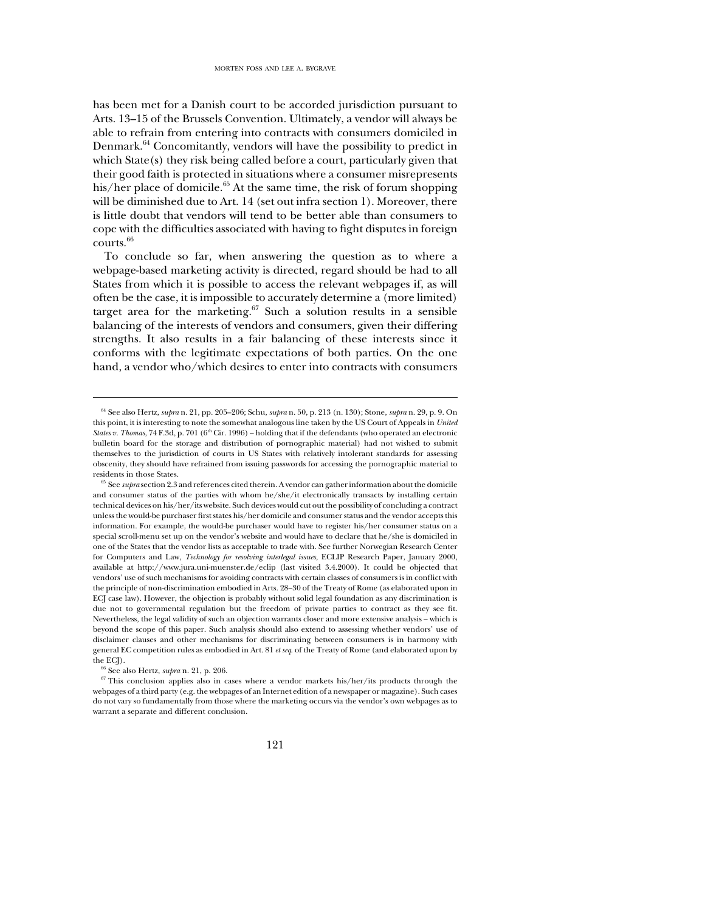has been met for a Danish court to be accorded jurisdiction pursuant to Arts. 13–15 of the Brussels Convention. Ultimately, a vendor will always be able to refrain from entering into contracts with consumers domiciled in Denmark.<sup>64</sup> Concomitantly, vendors will have the possibility to predict in which State(s) they risk being called before a court, particularly given that their good faith is protected in situations where a consumer misrepresents his/her place of domicile.<sup>65</sup> At the same time, the risk of forum shopping will be diminished due to Art. 14 (set out infra section 1). Moreover, there is little doubt that vendors will tend to be better able than consumers to cope with the difficulties associated with having to fight disputes in foreign courts.<sup>66</sup>

To conclude so far, when answering the question as to where a webpage-based marketing activity is directed, regard should be had to all States from which it is possible to access the relevant webpages if, as will often be the case, it is impossible to accurately determine a (more limited) target area for the marketing. $67$  Such a solution results in a sensible balancing of the interests of vendors and consumers, given their differing strengths. It also results in a fair balancing of these interests since it conforms with the legitimate expectations of both parties. On the one hand, a vendor who/which desires to enter into contracts with consumers

<sup>66</sup> See also Hertz, *supra* n. 21, p. 206.

<sup>67</sup> This conclusion applies also in cases where a vendor markets his/her/its products through the webpages of a third party (e.g. the webpages of an Internet edition of a newspaper or magazine). Such cases do not vary so fundamentally from those where the marketing occurs via the vendor's own webpages as to warrant a separate and different conclusion.

<sup>64</sup> See also Hertz, *supra* n. 21, pp. 205–206; Schu, *supra* n. 50, p. 213 (n. 130); Stone, *supra* n. 29, p. 9. On this point, it is interesting to note the somewhat analogous line taken by the US Court of Appeals in *United States v. Thomas*, 74 F.3d, p. 701 (6<sup>th</sup> Cir. 1996) – holding that if the defendants (who operated an electronic bulletin board for the storage and distribution of pornographic material) had not wished to submit themselves to the jurisdiction of courts in US States with relatively intolerant standards for assessing obscenity, they should have refrained from issuing passwords for accessing the pornographic material to residents in those States.

<sup>65</sup> See *supra* section 2.3 and references cited therein. A vendor can gather information about the domicile and consumer status of the parties with whom he/she/it electronically transacts by installing certain technical devices on his/her/its website. Such devices would cut out the possibility of concluding a contract unless the would-be purchaser first states his/her domicile and consumer status and the vendor accepts this information. For example, the would-be purchaser would have to register his/her consumer status on a special scroll-menu set up on the vendor's website and would have to declare that he/she is domiciled in one of the States that the vendor lists as acceptable to trade with. See further Norwegian Research Center for Computers and Law, *Technology for resolving interlegal issues*, ECLIP Research Paper, January 2000, available at http://www.jura.uni-muenster.de/eclip (last visited 3.4.2000). It could be objected that vendors' use of such mechanisms for avoiding contracts with certain classes of consumers is in conflict with the principle of non-discrimination embodied in Arts. 28–30 of the Treaty of Rome (as elaborated upon in ECJ case law). However, the objection is probably without solid legal foundation as any discrimination is due not to governmental regulation but the freedom of private parties to contract as they see fit. Nevertheless, the legal validity of such an objection warrants closer and more extensive analysis – which is beyond the scope of this paper. Such analysis should also extend to assessing whether vendors' use of disclaimer clauses and other mechanisms for discriminating between consumers is in harmony with general EC competition rules as embodied in Art. 81 *et seq*. of the Treaty of Rome (and elaborated upon by the ECJ).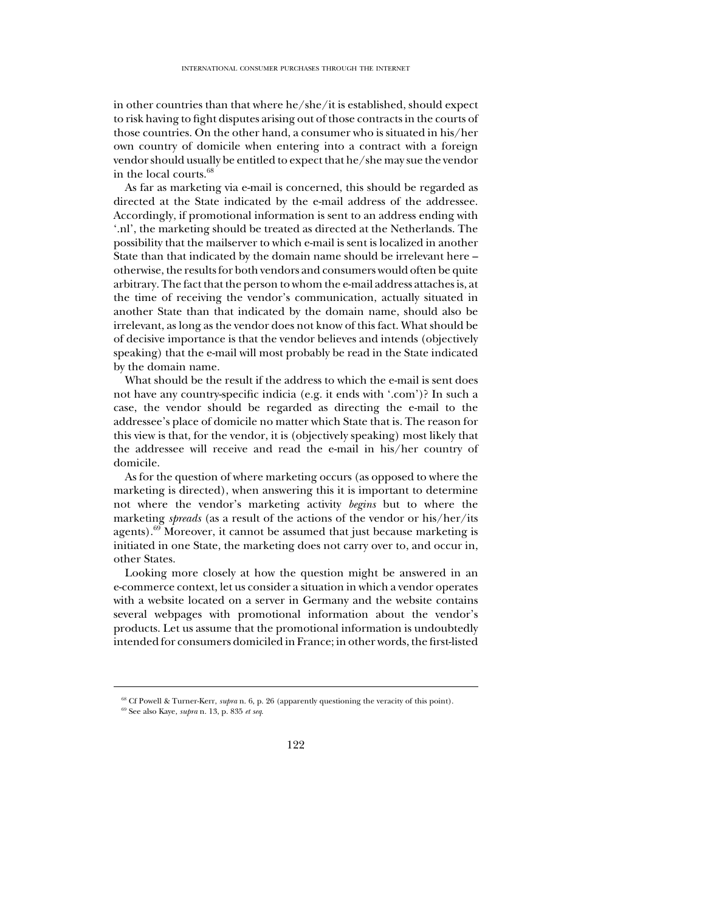in other countries than that where he/she/it is established, should expect to risk having to fight disputes arising out of those contracts in the courts of those countries. On the other hand, a consumer who is situated in his/her own country of domicile when entering into a contract with a foreign vendor should usually be entitled to expect that he/she may sue the vendor in the local courts.68

As far as marketing via e-mail is concerned, this should be regarded as directed at the State indicated by the e-mail address of the addressee. Accordingly, if promotional information is sent to an address ending with '.nl', the marketing should be treated as directed at the Netherlands. The possibility that the mailserver to which e-mail is sent is localized in another State than that indicated by the domain name should be irrelevant here – otherwise, the results for both vendors and consumers would often be quite arbitrary. The fact that the person to whom the e-mail address attaches is, at the time of receiving the vendor's communication, actually situated in another State than that indicated by the domain name, should also be irrelevant, as long as the vendor does not know of this fact. What should be of decisive importance is that the vendor believes and intends (objectively speaking) that the e-mail will most probably be read in the State indicated by the domain name.

What should be the result if the address to which the e-mail is sent does not have any country-specific indicia (e.g. it ends with '.com')? In such a case, the vendor should be regarded as directing the e-mail to the addressee's place of domicile no matter which State that is. The reason for this view is that, for the vendor, it is (objectively speaking) most likely that the addressee will receive and read the e-mail in his/her country of domicile.

As for the question of where marketing occurs (as opposed to where the marketing is directed), when answering this it is important to determine not where the vendor's marketing activity *begins* but to where the marketing *spreads* (as a result of the actions of the vendor or his/her/its agents).<sup>69</sup> Moreover, it cannot be assumed that just because marketing is initiated in one State, the marketing does not carry over to, and occur in, other States.

Looking more closely at how the question might be answered in an e-commerce context, let us consider a situation in which a vendor operates with a website located on a server in Germany and the website contains several webpages with promotional information about the vendor's products. Let us assume that the promotional information is undoubtedly intended for consumers domiciled in France; in other words, the first-listed

<sup>68</sup> Cf Powell & Turner-Kerr, *supra* n. 6, p. 26 (apparently questioning the veracity of this point). <sup>69</sup> See also Kaye, *supra* n. 13, p. 835 *et seq*.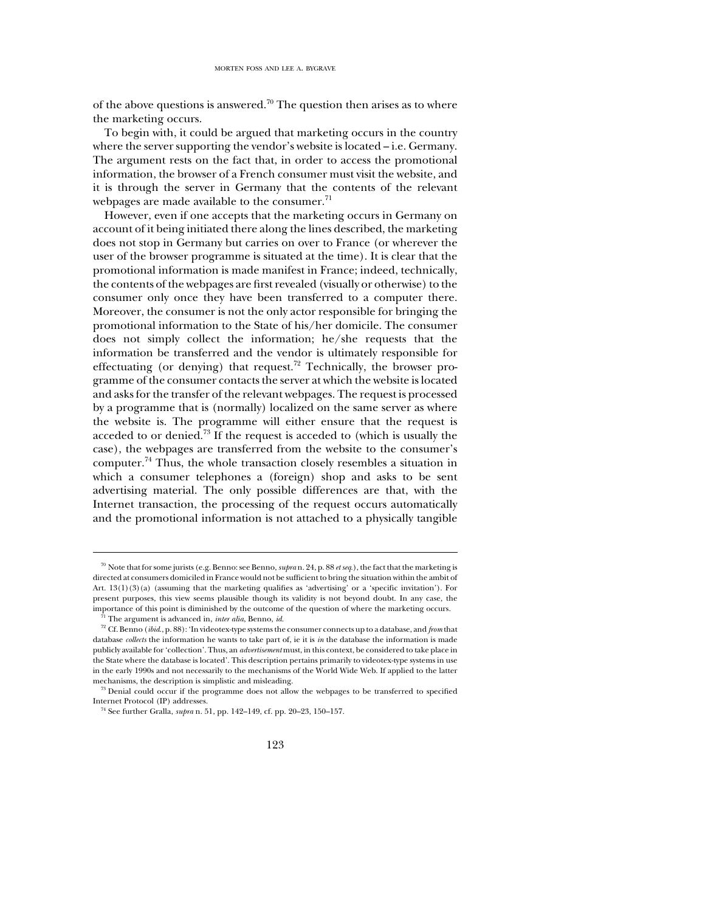of the above questions is answered.<sup>70</sup> The question then arises as to where the marketing occurs.

To begin with, it could be argued that marketing occurs in the country where the server supporting the vendor's website is located – i.e. Germany. The argument rests on the fact that, in order to access the promotional information, the browser of a French consumer must visit the website, and it is through the server in Germany that the contents of the relevant webpages are made available to the consumer.<sup>71</sup>

However, even if one accepts that the marketing occurs in Germany on account of it being initiated there along the lines described, the marketing does not stop in Germany but carries on over to France (or wherever the user of the browser programme is situated at the time). It is clear that the promotional information is made manifest in France; indeed, technically, the contents of the webpages are first revealed (visually or otherwise) to the consumer only once they have been transferred to a computer there. Moreover, the consumer is not the only actor responsible for bringing the promotional information to the State of his/her domicile. The consumer does not simply collect the information; he/she requests that the information be transferred and the vendor is ultimately responsible for effectuating (or denying) that request.<sup>72</sup> Technically, the browser programme of the consumer contacts the server at which the website is located and asks for the transfer of the relevant webpages. The request is processed by a programme that is (normally) localized on the same server as where the website is. The programme will either ensure that the request is acceded to or denied.73 If the request is acceded to (which is usually the case), the webpages are transferred from the website to the consumer's computer.<sup>74</sup> Thus, the whole transaction closely resembles a situation in which a consumer telephones a (foreign) shop and asks to be sent advertising material. The only possible differences are that, with the Internet transaction, the processing of the request occurs automatically and the promotional information is not attached to a physically tangible

<sup>70</sup> Note that for some jurists (e.g. Benno: see Benno, *supra* n. 24, p. 88 *et seq*.), the fact that the marketing is directed at consumers domiciled in France would not be sufficient to bring the situation within the ambit of Art.  $13(1)(3)(a)$  (assuming that the marketing qualifies as 'advertising' or a 'specific invitation'). For present purposes, this view seems plausible though its validity is not beyond doubt. In any case, the importance of this point is diminished by the outcome of the question of where the marketing occurs.

<sup>71</sup> The argument is advanced in, *inter alia*, Benno, *id*.

<sup>72</sup> Cf. Benno (*ibid*., p. 88): 'In videotex-type systems the consumer connects up to a database, and *from* that database *collects* the information he wants to take part of, ie it is *in* the database the information is made publicly available for 'collection'. Thus, an *advertisement* must, in this context, be considered to take place in the State where the database is located'. This description pertains primarily to videotex-type systems in use in the early 1990s and not necessarily to the mechanisms of the World Wide Web. If applied to the latter mechanisms, the description is simplistic and misleading.

<sup>&</sup>lt;sup>73</sup> Denial could occur if the programme does not allow the webpages to be transferred to specified Internet Protocol (IP) addresses.

<sup>74</sup> See further Gralla, *supra* n. 51, pp. 142–149, cf. pp. 20–23, 150–157.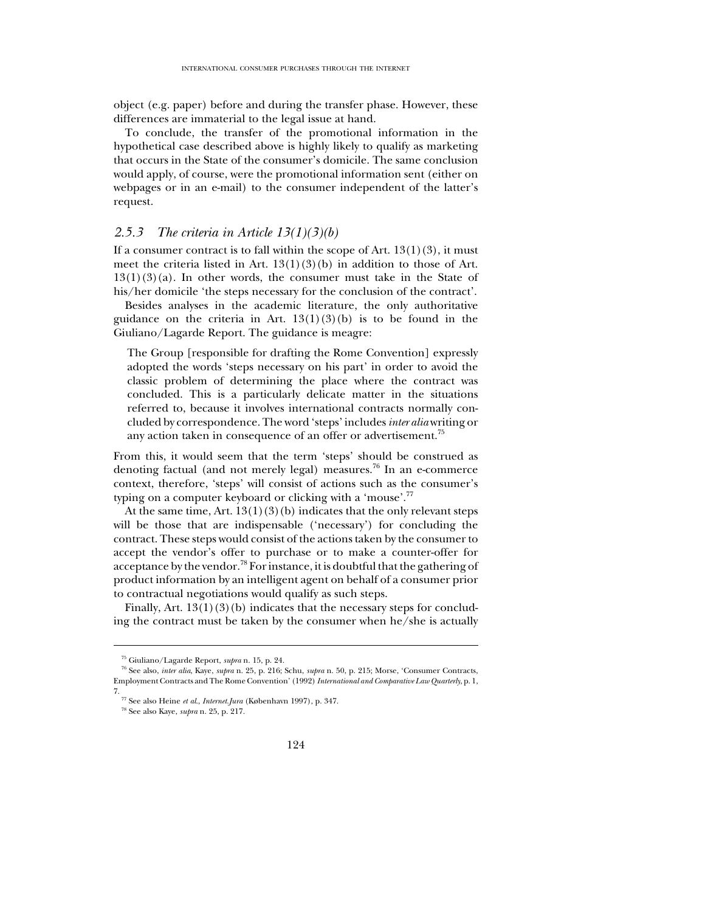object (e.g. paper) before and during the transfer phase. However, these differences are immaterial to the legal issue at hand.

To conclude, the transfer of the promotional information in the hypothetical case described above is highly likely to qualify as marketing that occurs in the State of the consumer's domicile. The same conclusion would apply, of course, were the promotional information sent (either on webpages or in an e-mail) to the consumer independent of the latter's request.

#### *2.5.3 The criteria in Article 13(1)(3)(b)*

If a consumer contract is to fall within the scope of Art.  $13(1)(3)$ , it must meet the criteria listed in Art.  $13(1)(3)(b)$  in addition to those of Art.  $13(1)(3)(a)$ . In other words, the consumer must take in the State of his/her domicile 'the steps necessary for the conclusion of the contract'.

Besides analyses in the academic literature, the only authoritative guidance on the criteria in Art.  $13(1)(3)(b)$  is to be found in the Giuliano/Lagarde Report. The guidance is meagre:

The Group [responsible for drafting the Rome Convention] expressly adopted the words 'steps necessary on his part' in order to avoid the classic problem of determining the place where the contract was concluded. This is a particularly delicate matter in the situations referred to, because it involves international contracts normally concluded by correspondence. The word 'steps' includes *inter alia* writing or any action taken in consequence of an offer or advertisement.<sup>75</sup>

From this, it would seem that the term 'steps' should be construed as denoting factual (and not merely legal) measures.<sup>76</sup> In an e-commerce context, therefore, 'steps' will consist of actions such as the consumer's typing on a computer keyboard or clicking with a 'mouse'.77

At the same time, Art.  $13(1)(3)(b)$  indicates that the only relevant steps will be those that are indispensable ('necessary') for concluding the contract. These steps would consist of the actions taken by the consumer to accept the vendor's offer to purchase or to make a counter-offer for acceptance by the vendor.<sup>78</sup> For instance, it is doubtful that the gathering of product information by an intelligent agent on behalf of a consumer prior to contractual negotiations would qualify as such steps.

Finally, Art.  $13(1)(3)(b)$  indicates that the necessary steps for concluding the contract must be taken by the consumer when he/she is actually

<sup>75</sup> Giuliano/Lagarde Report, *supra* n. 15, p. 24.

<sup>76</sup> See also, *inter alia*, Kaye, *supra* n. 25, p. 216; Schu, *supra* n. 50, p. 215; Morse, 'Consumer Contracts, Employment Contracts and The Rome Convention' (1992) *International and Comparative Law Quarterly*, p. 1, 7.

<sup>77</sup> See also Heine *et al*., *Internet.Jura* (København 1997), p. 347.

<sup>78</sup> See also Kaye, *supra* n. 25, p. 217.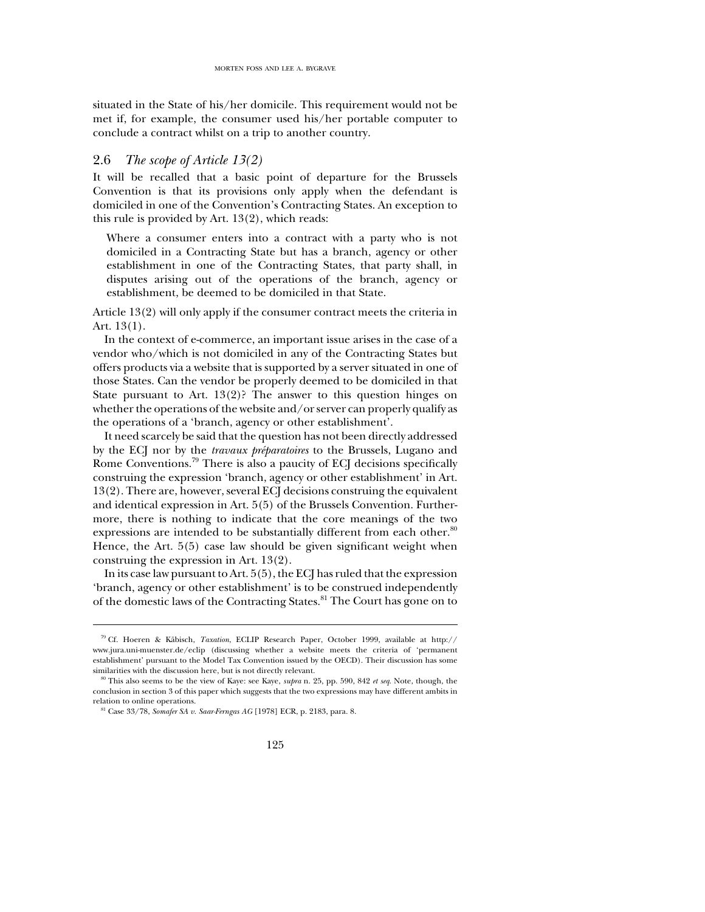situated in the State of his/her domicile. This requirement would not be met if, for example, the consumer used his/her portable computer to conclude a contract whilst on a trip to another country.

#### 2.6 *The scope of Article 13(2)*

It will be recalled that a basic point of departure for the Brussels Convention is that its provisions only apply when the defendant is domiciled in one of the Convention's Contracting States. An exception to this rule is provided by Art. 13(2), which reads:

Where a consumer enters into a contract with a party who is not domiciled in a Contracting State but has a branch, agency or other establishment in one of the Contracting States, that party shall, in disputes arising out of the operations of the branch, agency or establishment, be deemed to be domiciled in that State.

Article 13(2) will only apply if the consumer contract meets the criteria in Art. 13(1).

In the context of e-commerce, an important issue arises in the case of a vendor who/which is not domiciled in any of the Contracting States but offers products via a website that is supported by a server situated in one of those States. Can the vendor be properly deemed to be domiciled in that State pursuant to Art. 13(2)? The answer to this question hinges on whether the operations of the website and/or server can properly qualify as the operations of a 'branch, agency or other establishment'.

It need scarcely be said that the question has not been directly addressed by the ECJ nor by the *travaux préparatoires* to the Brussels, Lugano and Rome Conventions.79 There is also a paucity of ECJ decisions specifically construing the expression 'branch, agency or other establishment' in Art. 13(2). There are, however, several ECJ decisions construing the equivalent and identical expression in Art. 5(5) of the Brussels Convention. Furthermore, there is nothing to indicate that the core meanings of the two expressions are intended to be substantially different from each other.<sup>80</sup> Hence, the Art. 5(5) case law should be given significant weight when construing the expression in Art. 13(2).

In its case law pursuant to Art.  $5(5)$ , the ECJ has ruled that the expression 'branch, agency or other establishment' is to be construed independently of the domestic laws of the Contracting States.<sup>81</sup> The Court has gone on to

<sup>79</sup> Cf. Hoeren & Käbisch, *Taxation*, ECLIP Research Paper, October 1999, available at http:// www.jura.uni-muenster.de/eclip (discussing whether a website meets the criteria of 'permanent establishment' pursuant to the Model Tax Convention issued by the OECD). Their discussion has some similarities with the discussion here, but is not directly relevant.

<sup>80</sup> This also seems to be the view of Kaye: see Kaye, *supra* n. 25, pp. 590, 842 *et seq*. Note, though, the conclusion in section 3 of this paper which suggests that the two expressions may have different ambits in relation to online operations.

<sup>81</sup> Case 33/78, *Somafer SA v. Saar-Ferngas AG* [1978] ECR, p. 2183, para. 8.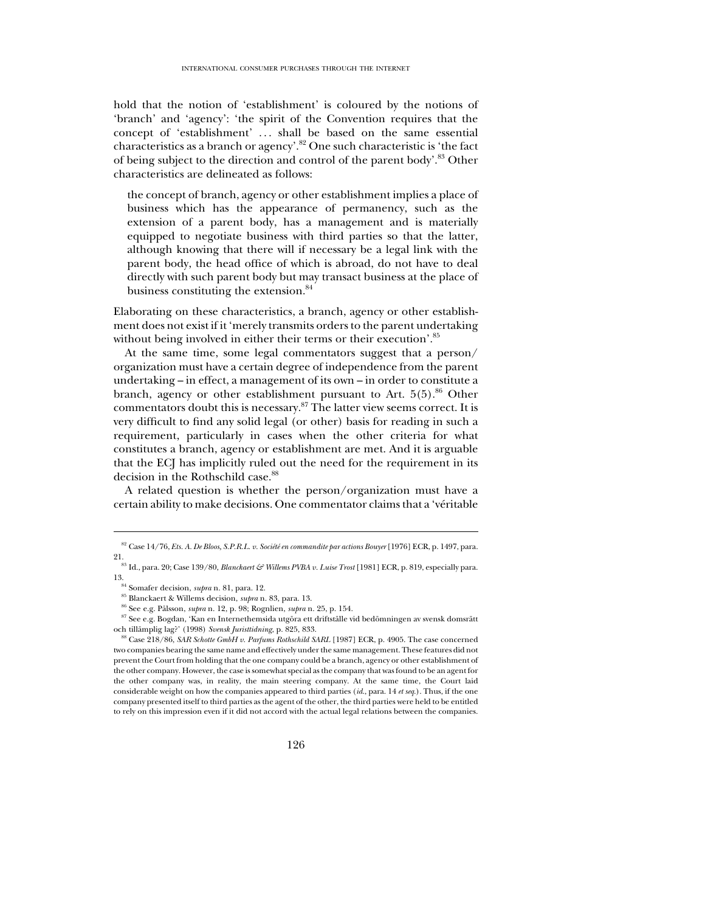hold that the notion of 'establishment' is coloured by the notions of 'branch' and 'agency': 'the spirit of the Convention requires that the concept of 'establishment' ... shall be based on the same essential characteristics as a branch or agency'.<sup>82</sup> One such characteristic is 'the fact of being subject to the direction and control of the parent body'.83 Other characteristics are delineated as follows:

the concept of branch, agency or other establishment implies a place of business which has the appearance of permanency, such as the extension of a parent body, has a management and is materially equipped to negotiate business with third parties so that the latter, although knowing that there will if necessary be a legal link with the parent body, the head office of which is abroad, do not have to deal directly with such parent body but may transact business at the place of business constituting the extension.<sup>84</sup>

Elaborating on these characteristics, a branch, agency or other establishment does not exist if it 'merely transmits orders to the parent undertaking without being involved in either their terms or their execution'.<sup>85</sup>

At the same time, some legal commentators suggest that a person/ organization must have a certain degree of independence from the parent undertaking – in effect, a management of its own – in order to constitute a branch, agency or other establishment pursuant to Art.  $5(5)$ .<sup>86</sup> Other commentators doubt this is necessary.87 The latter view seems correct. It is very difficult to find any solid legal (or other) basis for reading in such a requirement, particularly in cases when the other criteria for what constitutes a branch, agency or establishment are met. And it is arguable that the ECJ has implicitly ruled out the need for the requirement in its decision in the Rothschild case.<sup>88</sup>

A related question is whether the person/organization must have a certain ability to make decisions. One commentator claims that a 'véritable

<sup>82</sup> Case 14/76, *Ets. A. De Bloos, S.P.R.L. v. Société en commandite par actions Bouyer* [1976] ECR, p. 1497, para. 21.83 Id., para. 20; Case 139/80, *Blanckaert & Willems PVBA v. Luise Trost* [1981] ECR, p. 819, especially para.

<sup>13.84</sup> Somafer decision, *supra* n. 81, para. 12.

<sup>85</sup> Blanckaert & Willems decision, *supra* n. 83, para. 13.

<sup>86</sup> See e.g. Pålsson, *supra* n. 12, p. 98; Rognlien, *supra* n. 25, p. 154.

 $\rm ^{87}$  See e.g. Bogdan, 'Kan en Internethemsida utgöra ett driftställe vid bedömningen av svensk domsrätt och tillämplig lag?' (1998) *Svensk Juristtidning*, p. 825, 833.

<sup>88</sup> Case 218/86, *SAR Schotte GmbH v. Parfums Rothschild SARL* [1987] ECR, p. 4905. The case concerned two companies bearing the same name and effectively under the same management. These features did not prevent the Court from holding that the one company could be a branch, agency or other establishment of the other company. However, the case is somewhat special as the company that was found to be an agent for the other company was, in reality, the main steering company. At the same time, the Court laid considerable weight on how the companies appeared to third parties (*id*., para. 14 *et seq*.). Thus, if the one company presented itself to third parties as the agent of the other, the third parties were held to be entitled to rely on this impression even if it did not accord with the actual legal relations between the companies.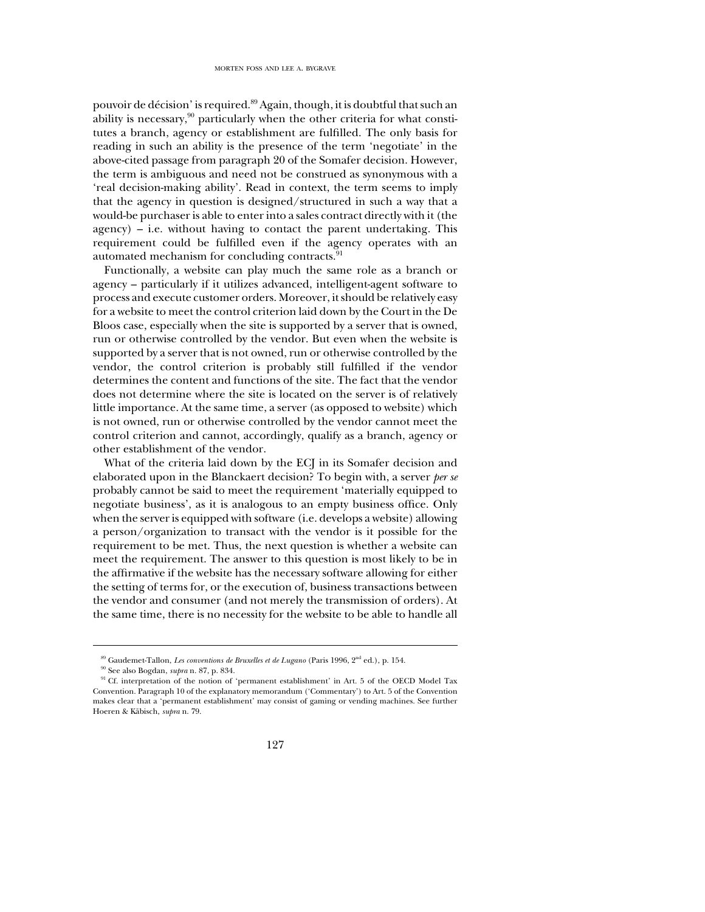pouvoir de décision' is required.89 Again, though, it is doubtful that such an ability is necessary, $90$  particularly when the other criteria for what constitutes a branch, agency or establishment are fulfilled. The only basis for reading in such an ability is the presence of the term 'negotiate' in the above-cited passage from paragraph 20 of the Somafer decision. However, the term is ambiguous and need not be construed as synonymous with a 'real decision-making ability'. Read in context, the term seems to imply that the agency in question is designed/structured in such a way that a would-be purchaser is able to enter into a sales contract directly with it (the  $a$ gency) – i.e. without having to contact the parent undertaking. This requirement could be fulfilled even if the agency operates with an automated mechanism for concluding contracts.<sup>91</sup>

Functionally, a website can play much the same role as a branch or agency – particularly if it utilizes advanced, intelligent-agent software to process and execute customer orders. Moreover, it should be relatively easy for a website to meet the control criterion laid down by the Court in the De Bloos case, especially when the site is supported by a server that is owned, run or otherwise controlled by the vendor. But even when the website is supported by a server that is not owned, run or otherwise controlled by the vendor, the control criterion is probably still fulfilled if the vendor determines the content and functions of the site. The fact that the vendor does not determine where the site is located on the server is of relatively little importance. At the same time, a server (as opposed to website) which is not owned, run or otherwise controlled by the vendor cannot meet the control criterion and cannot, accordingly, qualify as a branch, agency or other establishment of the vendor.

What of the criteria laid down by the ECJ in its Somafer decision and elaborated upon in the Blanckaert decision? To begin with, a server *per se* probably cannot be said to meet the requirement 'materially equipped to negotiate business', as it is analogous to an empty business office. Only when the server is equipped with software (i.e. develops a website) allowing a person/organization to transact with the vendor is it possible for the requirement to be met. Thus, the next question is whether a website can meet the requirement. The answer to this question is most likely to be in the affirmative if the website has the necessary software allowing for either the setting of terms for, or the execution of, business transactions between the vendor and consumer (and not merely the transmission of orders). At the same time, there is no necessity for the website to be able to handle all

<sup>&</sup>lt;sup>89</sup> Gaudemet-Tallon, *Les conventions de Bruxelles et de Lugano* (Paris 1996, 2<sup>nd</sup> ed.), p. 154.

<sup>90</sup> See also Bogdan, *supra* n. 87, p. 834.

<sup>&</sup>lt;sup>91</sup> Cf. interpretation of the notion of 'permanent establishment' in Art. 5 of the OECD Model Tax Convention. Paragraph 10 of the explanatory memorandum ('Commentary') to Art. 5 of the Convention makes clear that a 'permanent establishment' may consist of gaming or vending machines. See further Hoeren & Käbisch, *supra* n. 79.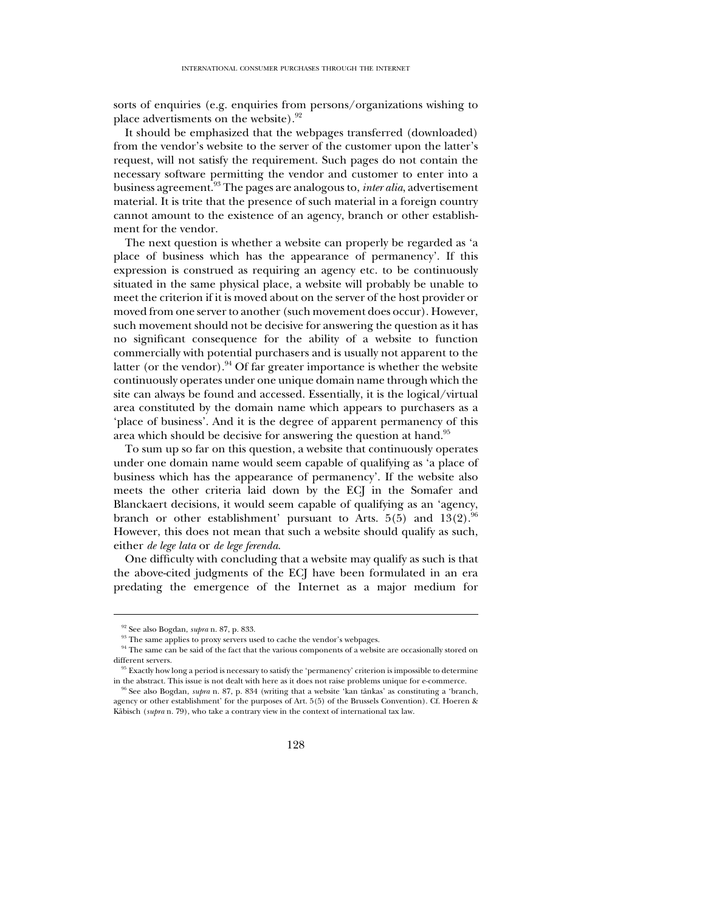sorts of enquiries (e.g. enquiries from persons/organizations wishing to place advertisments on the website).<sup>92</sup>

It should be emphasized that the webpages transferred (downloaded) from the vendor's website to the server of the customer upon the latter's request, will not satisfy the requirement. Such pages do not contain the necessary software permitting the vendor and customer to enter into a business agreement.93 The pages are analogous to, *inter alia*, advertisement material. It is trite that the presence of such material in a foreign country cannot amount to the existence of an agency, branch or other establishment for the vendor.

The next question is whether a website can properly be regarded as 'a place of business which has the appearance of permanency'. If this expression is construed as requiring an agency etc. to be continuously situated in the same physical place, a website will probably be unable to meet the criterion if it is moved about on the server of the host provider or moved from one server to another (such movement does occur). However, such movement should not be decisive for answering the question as it has no significant consequence for the ability of a website to function commercially with potential purchasers and is usually not apparent to the latter (or the vendor).<sup>94</sup> Of far greater importance is whether the website continuously operates under one unique domain name through which the site can always be found and accessed. Essentially, it is the logical/virtual area constituted by the domain name which appears to purchasers as a 'place of business'. And it is the degree of apparent permanency of this area which should be decisive for answering the question at hand.<sup>95</sup>

To sum up so far on this question, a website that continuously operates under one domain name would seem capable of qualifying as 'a place of business which has the appearance of permanency'. If the website also meets the other criteria laid down by the ECJ in the Somafer and Blanckaert decisions, it would seem capable of qualifying as an 'agency, branch or other establishment' pursuant to Arts. 5(5) and 13(2).<sup>96</sup> However, this does not mean that such a website should qualify as such, either *de lege lata* or *de lege ferenda*.

One difficulty with concluding that a website may qualify as such is that the above-cited judgments of the ECJ have been formulated in an era predating the emergence of the Internet as a major medium for

<sup>92</sup> See also Bogdan, *supra* n. 87, p. 833.

<sup>&</sup>lt;sup>93</sup> The same applies to proxy servers used to cache the vendor's webpages.

<sup>&</sup>lt;sup>94</sup> The same can be said of the fact that the various components of a website are occasionally stored on different servers.

 $95$  Exactly how long a period is necessary to satisfy the 'permanency' criterion is impossible to determine in the abstract. This issue is not dealt with here as it does not raise problems unique for e-commerce.

<sup>96</sup> See also Bogdan, *supra* n. 87, p. 834 (writing that a website 'kan tänkas' as constituting a 'branch, agency or other establishment' for the purposes of Art. 5(5) of the Brussels Convention). Cf. Hoeren & Käbisch (*supra* n. 79), who take a contrary view in the context of international tax law.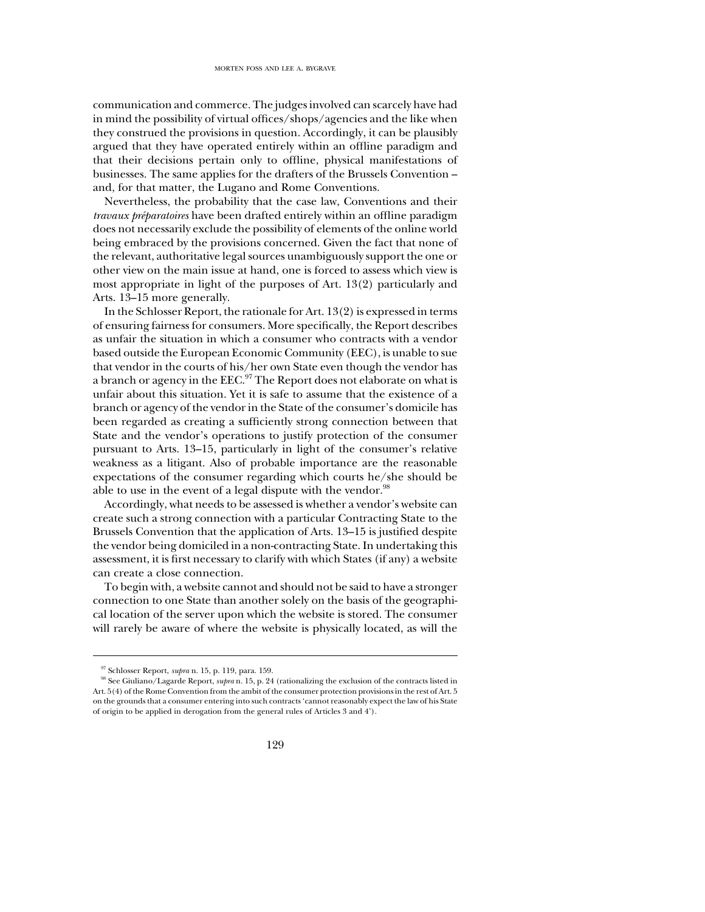communication and commerce. The judges involved can scarcely have had in mind the possibility of virtual offices/shops/agencies and the like when they construed the provisions in question. Accordingly, it can be plausibly argued that they have operated entirely within an offline paradigm and that their decisions pertain only to offline, physical manifestations of businesses. The same applies for the drafters of the Brussels Convention – and, for that matter, the Lugano and Rome Conventions.

Nevertheless, the probability that the case law, Conventions and their *travaux préparatoires* have been drafted entirely within an offline paradigm does not necessarily exclude the possibility of elements of the online world being embraced by the provisions concerned. Given the fact that none of the relevant, authoritative legal sources unambiguously support the one or other view on the main issue at hand, one is forced to assess which view is most appropriate in light of the purposes of Art. 13(2) particularly and Arts. 13–15 more generally.

In the Schlosser Report, the rationale for Art. 13(2) is expressed in terms of ensuring fairness for consumers. More specifically, the Report describes as unfair the situation in which a consumer who contracts with a vendor based outside the European Economic Community (EEC), is unable to sue that vendor in the courts of his/her own State even though the vendor has a branch or agency in the EEC.<sup>97</sup> The Report does not elaborate on what is unfair about this situation. Yet it is safe to assume that the existence of a branch or agency of the vendor in the State of the consumer's domicile has been regarded as creating a sufficiently strong connection between that State and the vendor's operations to justify protection of the consumer pursuant to Arts. 13–15, particularly in light of the consumer's relative weakness as a litigant. Also of probable importance are the reasonable expectations of the consumer regarding which courts he/she should be able to use in the event of a legal dispute with the vendor.<sup>98</sup>

Accordingly, what needs to be assessed is whether a vendor's website can create such a strong connection with a particular Contracting State to the Brussels Convention that the application of Arts. 13–15 is justified despite the vendor being domiciled in a non-contracting State. In undertaking this assessment, it is first necessary to clarify with which States (if any) a website can create a close connection.

To begin with, a website cannot and should not be said to have a stronger connection to one State than another solely on the basis of the geographical location of the server upon which the website is stored. The consumer will rarely be aware of where the website is physically located, as will the

<sup>97</sup> Schlosser Report, *supra* n. 15, p. 119, para. 159.

<sup>98</sup> See Giuliano/Lagarde Report, *supra* n. 15, p. 24 (rationalizing the exclusion of the contracts listed in Art. 5(4) of the Rome Convention from the ambit of the consumer protection provisions in the rest of Art. 5 on the grounds that a consumer entering into such contracts 'cannot reasonably expect the law of his State of origin to be applied in derogation from the general rules of Articles 3 and 4').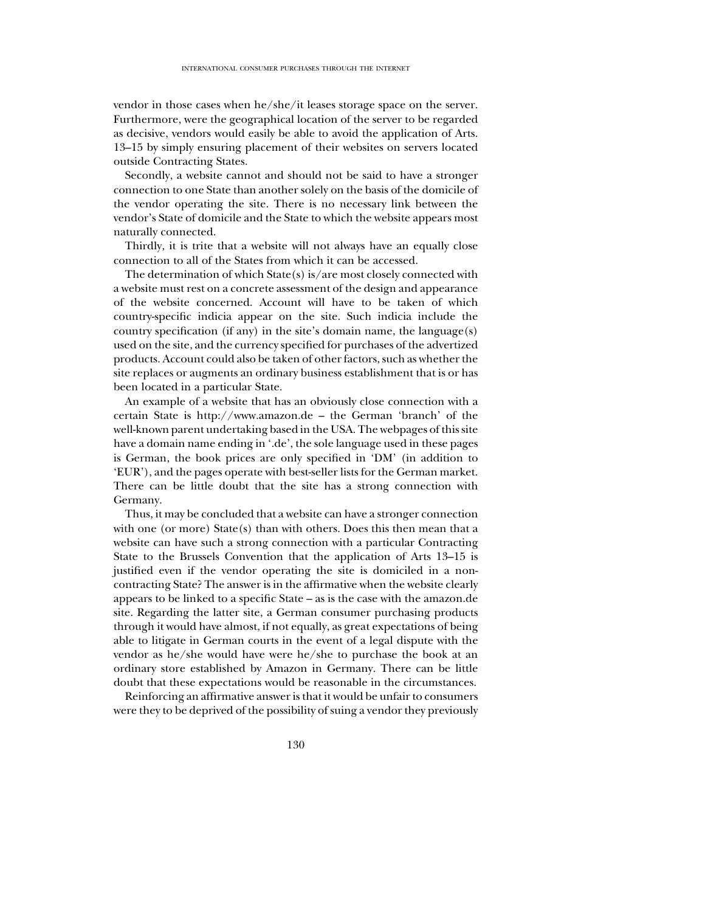vendor in those cases when he/she/it leases storage space on the server. Furthermore, were the geographical location of the server to be regarded as decisive, vendors would easily be able to avoid the application of Arts. 13–15 by simply ensuring placement of their websites on servers located outside Contracting States.

Secondly, a website cannot and should not be said to have a stronger connection to one State than another solely on the basis of the domicile of the vendor operating the site. There is no necessary link between the vendor's State of domicile and the State to which the website appears most naturally connected.

Thirdly, it is trite that a website will not always have an equally close connection to all of the States from which it can be accessed.

The determination of which State(s) is/are most closely connected with a website must rest on a concrete assessment of the design and appearance of the website concerned. Account will have to be taken of which country-specific indicia appear on the site. Such indicia include the country specification (if any) in the site's domain name, the language(s) used on the site, and the currency specified for purchases of the advertized products. Account could also be taken of other factors, such as whether the site replaces or augments an ordinary business establishment that is or has been located in a particular State.

An example of a website that has an obviously close connection with a certain State is http://www.amazon.de – the German 'branch' of the well-known parent undertaking based in the USA. The webpages of this site have a domain name ending in '.de', the sole language used in these pages is German, the book prices are only specified in 'DM' (in addition to 'EUR'), and the pages operate with best-seller lists for the German market. There can be little doubt that the site has a strong connection with Germany.

Thus, it may be concluded that a website can have a stronger connection with one (or more) State(s) than with others. Does this then mean that a website can have such a strong connection with a particular Contracting State to the Brussels Convention that the application of Arts 13–15 is justified even if the vendor operating the site is domiciled in a noncontracting State? The answer is in the affirmative when the website clearly appears to be linked to a specific State – as is the case with the amazon.de site. Regarding the latter site, a German consumer purchasing products through it would have almost, if not equally, as great expectations of being able to litigate in German courts in the event of a legal dispute with the vendor as he/she would have were he/she to purchase the book at an ordinary store established by Amazon in Germany. There can be little doubt that these expectations would be reasonable in the circumstances.

Reinforcing an affirmative answer is that it would be unfair to consumers were they to be deprived of the possibility of suing a vendor they previously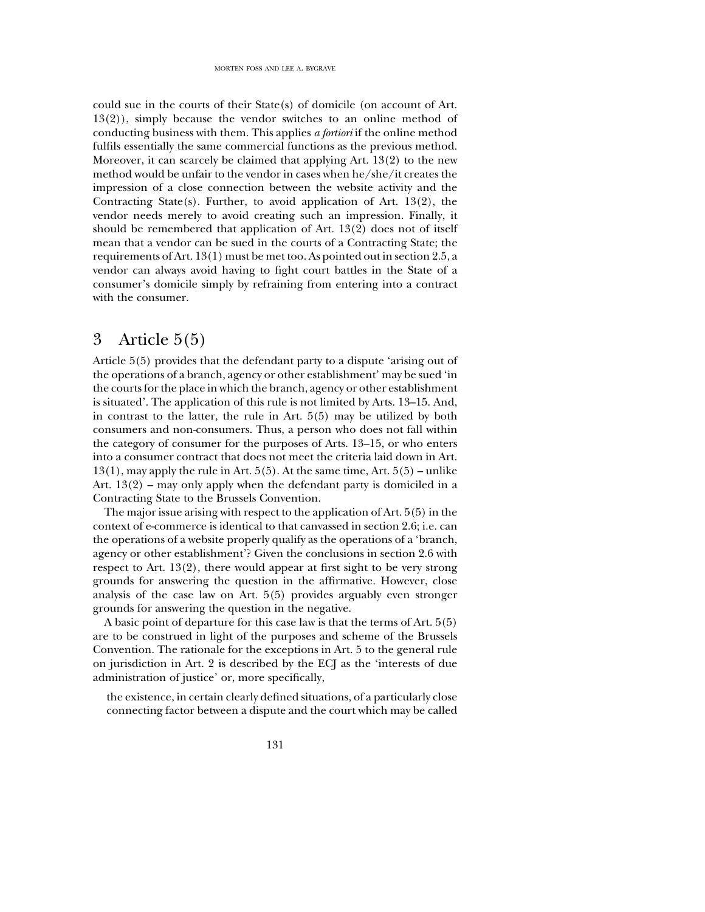could sue in the courts of their State(s) of domicile (on account of Art. 13(2)), simply because the vendor switches to an online method of conducting business with them. This applies *a fortiori* if the online method fulfils essentially the same commercial functions as the previous method. Moreover, it can scarcely be claimed that applying Art. 13(2) to the new method would be unfair to the vendor in cases when he/she/it creates the impression of a close connection between the website activity and the Contracting State(s). Further, to avoid application of Art. 13(2), the vendor needs merely to avoid creating such an impression. Finally, it should be remembered that application of Art. 13(2) does not of itself mean that a vendor can be sued in the courts of a Contracting State; the requirements of Art. 13(1) must be met too. As pointed out in section 2.5, a vendor can always avoid having to fight court battles in the State of a consumer's domicile simply by refraining from entering into a contract with the consumer.

## 3 Article 5(5)

Article 5(5) provides that the defendant party to a dispute 'arising out of the operations of a branch, agency or other establishment' may be sued 'in the courts for the place in which the branch, agency or other establishment is situated'. The application of this rule is not limited by Arts. 13–15. And, in contrast to the latter, the rule in Art. 5(5) may be utilized by both consumers and non-consumers. Thus, a person who does not fall within the category of consumer for the purposes of Arts. 13–15, or who enters into a consumer contract that does not meet the criteria laid down in Art.  $13(1)$ , may apply the rule in Art.  $5(5)$ . At the same time, Art.  $5(5)$  – unlike Art. 13(2) – may only apply when the defendant party is domiciled in a Contracting State to the Brussels Convention.

The major issue arising with respect to the application of Art. 5(5) in the context of e-commerce is identical to that canvassed in section 2.6; i.e. can the operations of a website properly qualify as the operations of a 'branch, agency or other establishment'? Given the conclusions in section 2.6 with respect to Art. 13(2), there would appear at first sight to be very strong grounds for answering the question in the affirmative. However, close analysis of the case law on Art. 5(5) provides arguably even stronger grounds for answering the question in the negative.

A basic point of departure for this case law is that the terms of Art. 5(5) are to be construed in light of the purposes and scheme of the Brussels Convention. The rationale for the exceptions in Art. 5 to the general rule on jurisdiction in Art. 2 is described by the ECJ as the 'interests of due administration of justice' or, more specifically,

the existence, in certain clearly defined situations, of a particularly close connecting factor between a dispute and the court which may be called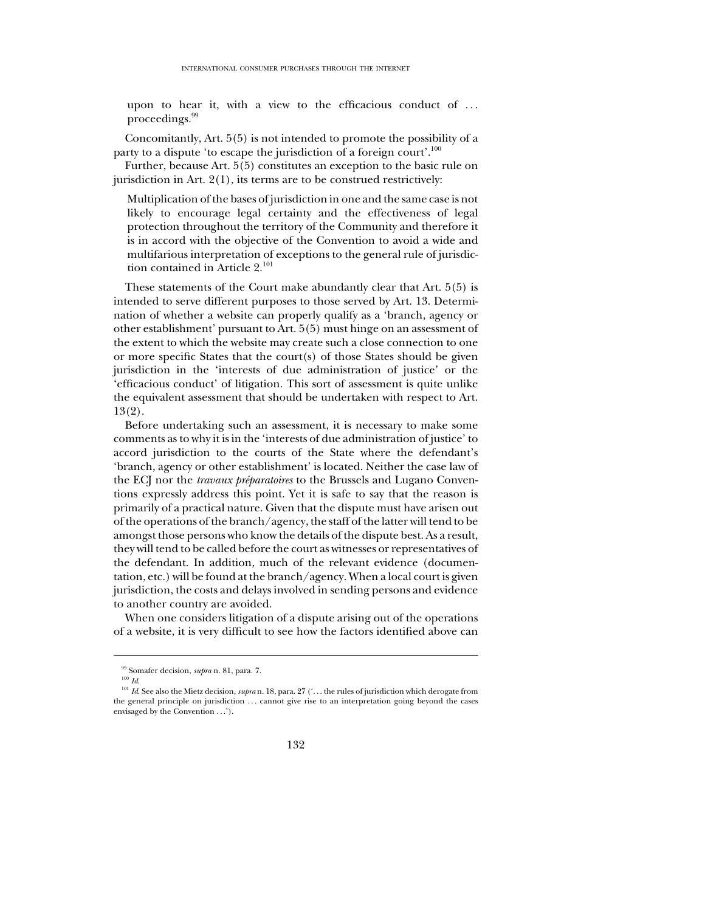upon to hear it, with a view to the efficacious conduct of ... proceedings.<sup>99</sup>

Concomitantly, Art. 5(5) is not intended to promote the possibility of a party to a dispute 'to escape the jurisdiction of a foreign court'.100

Further, because Art. 5(5) constitutes an exception to the basic rule on jurisdiction in Art. 2(1), its terms are to be construed restrictively:

Multiplication of the bases of jurisdiction in one and the same case is not likely to encourage legal certainty and the effectiveness of legal protection throughout the territory of the Community and therefore it is in accord with the objective of the Convention to avoid a wide and multifarious interpretation of exceptions to the general rule of jurisdiction contained in Article 2.<sup>101</sup>

These statements of the Court make abundantly clear that Art. 5(5) is intended to serve different purposes to those served by Art. 13. Determination of whether a website can properly qualify as a 'branch, agency or other establishment' pursuant to Art. 5(5) must hinge on an assessment of the extent to which the website may create such a close connection to one or more specific States that the court(s) of those States should be given jurisdiction in the 'interests of due administration of justice' or the 'efficacious conduct' of litigation. This sort of assessment is quite unlike the equivalent assessment that should be undertaken with respect to Art. 13(2).

Before undertaking such an assessment, it is necessary to make some comments as to why it is in the 'interests of due administration of justice' to accord jurisdiction to the courts of the State where the defendant's 'branch, agency or other establishment' is located. Neither the case law of the ECJ nor the *travaux préparatoires* to the Brussels and Lugano Conventions expressly address this point. Yet it is safe to say that the reason is primarily of a practical nature. Given that the dispute must have arisen out of the operations of the branch/agency, the staff of the latter will tend to be amongst those persons who know the details of the dispute best. As a result, they will tend to be called before the court as witnesses or representatives of the defendant. In addition, much of the relevant evidence (documentation, etc.) will be found at the branch/agency. When a local court is given jurisdiction, the costs and delays involved in sending persons and evidence to another country are avoided.

When one considers litigation of a dispute arising out of the operations of a website, it is very difficult to see how the factors identified above can

<sup>99</sup> Somafer decision, *supra* n. 81, para. 7.

<sup>100</sup> *Id*.

<sup>&</sup>lt;sup>101</sup> *Id*. See also the Mietz decision, *supra* n. 18, para. 27 ('... the rules of jurisdiction which derogate from the general principle on jurisdiction ... cannot give rise to an interpretation going beyond the cases envisaged by the Convention . . .').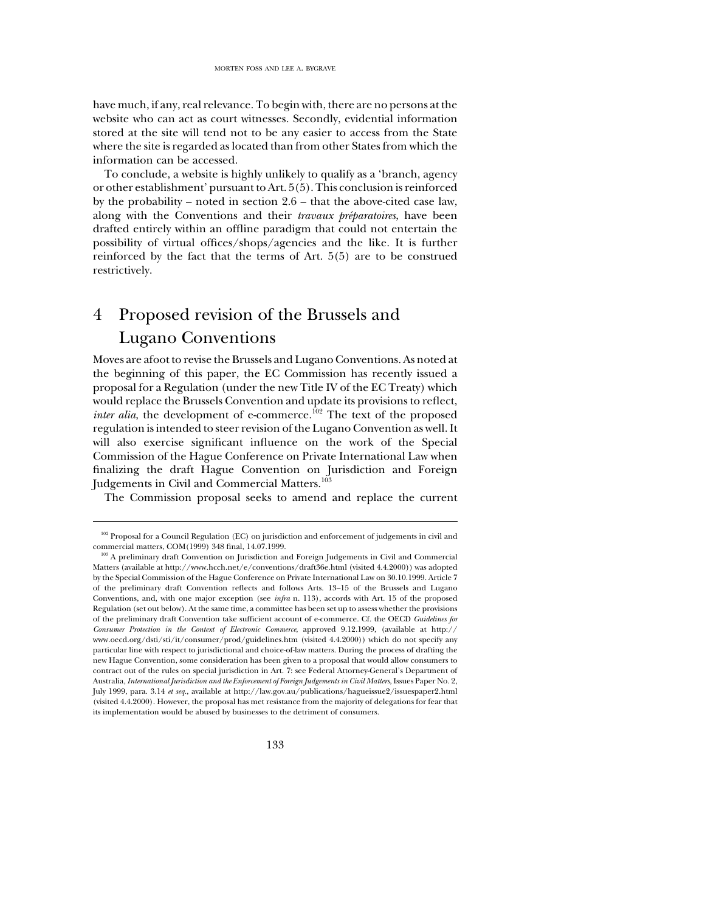have much, if any, real relevance. To begin with, there are no persons at the website who can act as court witnesses. Secondly, evidential information stored at the site will tend not to be any easier to access from the State where the site is regarded as located than from other States from which the information can be accessed.

To conclude, a website is highly unlikely to qualify as a 'branch, agency or other establishment' pursuant to Art. 5(5). This conclusion is reinforced by the probability – noted in section 2.6 – that the above-cited case law, along with the Conventions and their *travaux préparatoires*, have been drafted entirely within an offline paradigm that could not entertain the possibility of virtual offices/shops/agencies and the like. It is further reinforced by the fact that the terms of Art. 5(5) are to be construed restrictively.

## 4 Proposed revision of the Brussels and Lugano Conventions

Moves are afoot to revise the Brussels and Lugano Conventions. As noted at the beginning of this paper, the EC Commission has recently issued a proposal for a Regulation (under the new Title IV of the EC Treaty) which would replace the Brussels Convention and update its provisions to reflect, *inter alia*, the development of e-commerce.<sup>102</sup> The text of the proposed regulation is intended to steer revision of the Lugano Convention as well. It will also exercise significant influence on the work of the Special Commission of the Hague Conference on Private International Law when finalizing the draft Hague Convention on Jurisdiction and Foreign Judgements in Civil and Commercial Matters.103

The Commission proposal seeks to amend and replace the current

 $^{102}$  Proposal for a Council Regulation (EC) on jurisdiction and enforcement of judgements in civil and commercial matters, COM(1999) 348 final, 14.07.1999.

<sup>&</sup>lt;sup>103</sup> A preliminary draft Convention on Jurisdiction and Foreign Judgements in Civil and Commercial Matters (available at http://www.hcch.net/e/conventions/draft36e.html (visited 4.4.2000)) was adopted by the Special Commission of the Hague Conference on Private International Law on 30.10.1999. Article 7 of the preliminary draft Convention reflects and follows Arts. 13–15 of the Brussels and Lugano Conventions, and, with one major exception (see *infra* n. 113), accords with Art. 15 of the proposed Regulation (set out below). At the same time, a committee has been set up to assess whether the provisions of the preliminary draft Convention take sufficient account of e-commerce. Cf. the OECD *Guidelines for Consumer Protection in the Context of Electronic Commerce*, approved 9.12.1999, (available at http:// www.oecd.org/dsti/sti/it/consumer/prod/guidelines.htm (visited 4.4.2000)) which do not specify any particular line with respect to jurisdictional and choice-of-law matters. During the process of drafting the new Hague Convention, some consideration has been given to a proposal that would allow consumers to contract out of the rules on special jurisdiction in Art. 7: see Federal Attorney-General's Department of Australia, *International Jurisdiction and the Enforcement of Foreign Judgements in Civil Matters*, Issues Paper No. 2, July 1999, para. 3.14 *et seq.*, available at http://law.gov.au/publications/hagueissue2/issuespaper2.html (visited 4.4.2000). However, the proposal has met resistance from the majority of delegations for fear that its implementation would be abused by businesses to the detriment of consumers.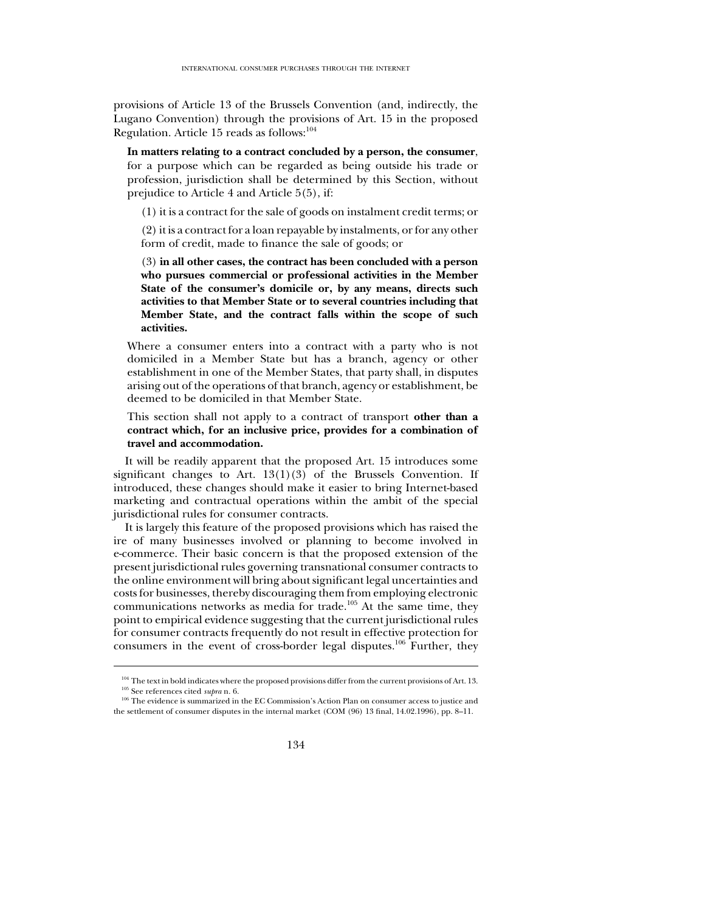provisions of Article 13 of the Brussels Convention (and, indirectly, the Lugano Convention) through the provisions of Art. 15 in the proposed Regulation. Article 15 reads as follows:<sup>104</sup>

**In matters relating to a contract concluded by a person, the consumer**, for a purpose which can be regarded as being outside his trade or profession, jurisdiction shall be determined by this Section, without prejudice to Article 4 and Article 5(5), if:

(1) it is a contract for the sale of goods on instalment credit terms; or

(2) it is a contract for a loan repayable by instalments, or for any other form of credit, made to finance the sale of goods; or

(3) **in all other cases, the contract has been concluded with a person who pursues commercial or professional activities in the Member State of the consumer's domicile or, by any means, directs such activities to that Member State or to several countries including that Member State, and the contract falls within the scope of such activities.**

Where a consumer enters into a contract with a party who is not domiciled in a Member State but has a branch, agency or other establishment in one of the Member States, that party shall, in disputes arising out of the operations of that branch, agency or establishment, be deemed to be domiciled in that Member State.

This section shall not apply to a contract of transport **other than a contract which, for an inclusive price, provides for a combination of travel and accommodation.**

It will be readily apparent that the proposed Art. 15 introduces some significant changes to Art.  $13(1)(3)$  of the Brussels Convention. If introduced, these changes should make it easier to bring Internet-based marketing and contractual operations within the ambit of the special jurisdictional rules for consumer contracts.

It is largely this feature of the proposed provisions which has raised the ire of many businesses involved or planning to become involved in e-commerce. Their basic concern is that the proposed extension of the present jurisdictional rules governing transnational consumer contracts to the online environment will bring about significant legal uncertainties and costs for businesses, thereby discouraging them from employing electronic communications networks as media for trade.<sup>105</sup> At the same time, they point to empirical evidence suggesting that the current jurisdictional rules for consumer contracts frequently do not result in effective protection for consumers in the event of cross-border legal disputes.<sup>106</sup> Further, they

<sup>&</sup>lt;sup>104</sup> The text in bold indicates where the proposed provisions differ from the current provisions of Art. 13. <sup>105</sup> See references cited *supra* n. 6.

<sup>106</sup> The evidence is summarized in the EC Commission's Action Plan on consumer access to justice and the settlement of consumer disputes in the internal market (COM (96) 13 final, 14.02.1996), pp. 8–11.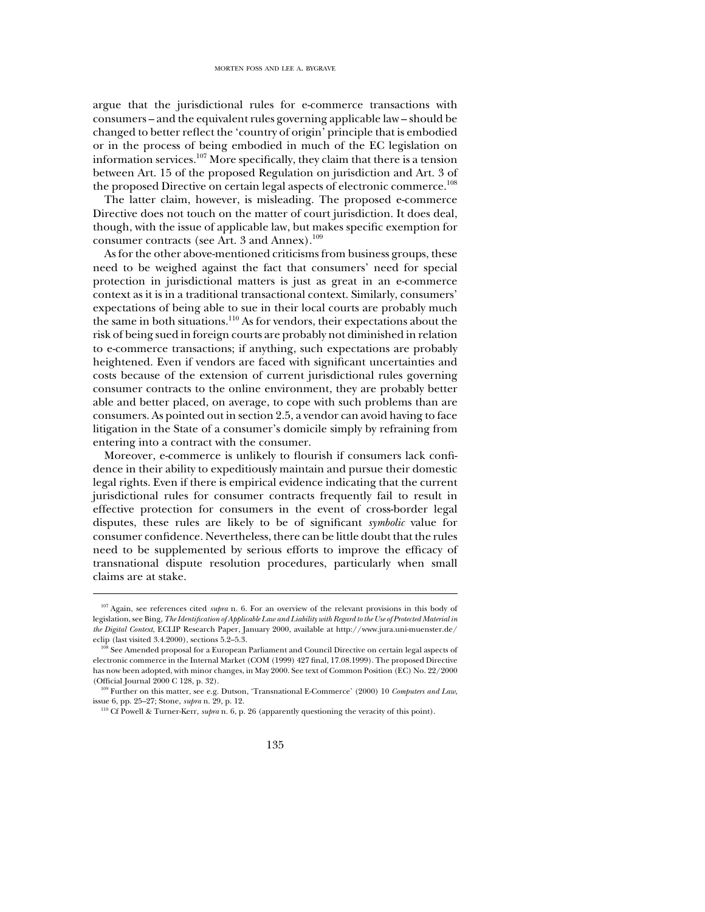argue that the jurisdictional rules for e-commerce transactions with consumers – and the equivalent rules governing applicable law – should be changed to better reflect the 'country of origin' principle that is embodied or in the process of being embodied in much of the EC legislation on information services.107 More specifically, they claim that there is a tension between Art. 15 of the proposed Regulation on jurisdiction and Art. 3 of the proposed Directive on certain legal aspects of electronic commerce.<sup>108</sup>

The latter claim, however, is misleading. The proposed e-commerce Directive does not touch on the matter of court jurisdiction. It does deal, though, with the issue of applicable law, but makes specific exemption for consumer contracts (see Art. 3 and Annex).<sup>109</sup>

As for the other above-mentioned criticisms from business groups, these need to be weighed against the fact that consumers' need for special protection in jurisdictional matters is just as great in an e-commerce context as it is in a traditional transactional context. Similarly, consumers' expectations of being able to sue in their local courts are probably much the same in both situations.110 As for vendors, their expectations about the risk of being sued in foreign courts are probably not diminished in relation to e-commerce transactions; if anything, such expectations are probably heightened. Even if vendors are faced with significant uncertainties and costs because of the extension of current jurisdictional rules governing consumer contracts to the online environment, they are probably better able and better placed, on average, to cope with such problems than are consumers. As pointed out in section 2.5, a vendor can avoid having to face litigation in the State of a consumer's domicile simply by refraining from entering into a contract with the consumer.

Moreover, e-commerce is unlikely to flourish if consumers lack confidence in their ability to expeditiously maintain and pursue their domestic legal rights. Even if there is empirical evidence indicating that the current jurisdictional rules for consumer contracts frequently fail to result in effective protection for consumers in the event of cross-border legal disputes, these rules are likely to be of significant *symbolic* value for consumer confidence. Nevertheless, there can be little doubt that the rules need to be supplemented by serious efforts to improve the efficacy of transnational dispute resolution procedures, particularly when small claims are at stake.

<sup>107</sup> Again, see references cited *supra* n. 6. For an overview of the relevant provisions in this body of legislation, see Bing, *The Identification of Applicable Law and Liability with Regard to the Use of Protected Material in the Digital Context*, ECLIP Research Paper, January 2000, available at http://www.jura.uni-muenster.de/ eclip (last visited 3.4.2000), sections 5.2–5.3.

See Amended proposal for a European Parliament and Council Directive on certain legal aspects of electronic commerce in the Internal Market (COM (1999) 427 final, 17.08.1999). The proposed Directive has now been adopted, with minor changes, in May 2000. See text of Common Position (EC) No. 22/2000 (Official Journal 2000 C 128, p. 32).

<sup>109</sup> Further on this matter, see e.g. Dutson, 'Transnational E-Commerce' (2000) 10 *Computers and Law*, issue 6, pp. 25–27; Stone, *supra* n. 29, p. 12.

<sup>110</sup> Cf Powell & Turner-Kerr, *supra* n. 6, p. 26 (apparently questioning the veracity of this point).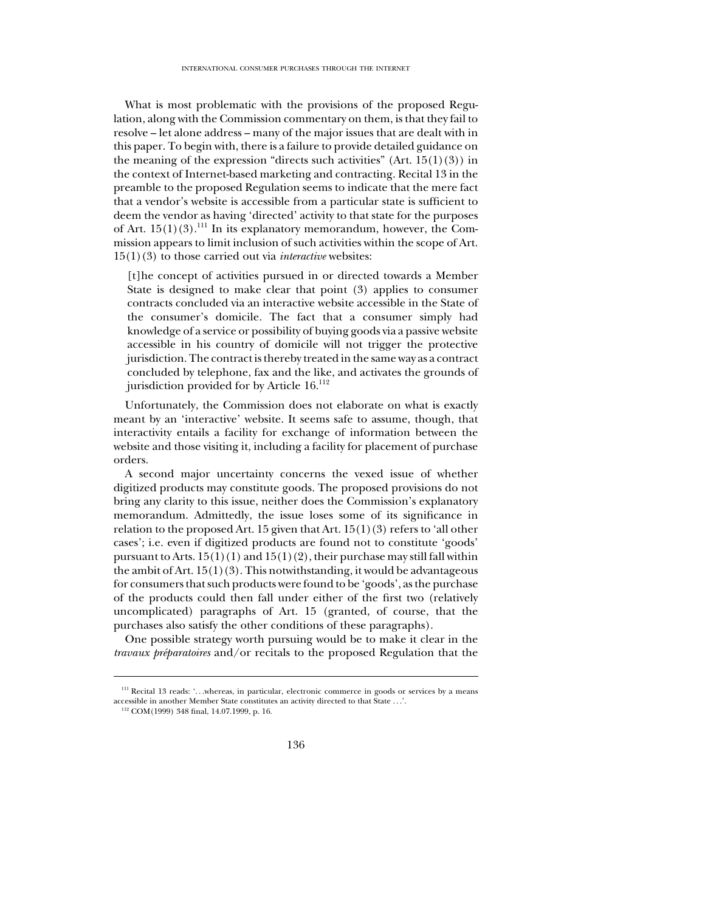What is most problematic with the provisions of the proposed Regulation, along with the Commission commentary on them, is that they fail to resolve – let alone address – many of the major issues that are dealt with in this paper. To begin with, there is a failure to provide detailed guidance on the meaning of the expression "directs such activities" (Art.  $15(1)(3)$ ) in the context of Internet-based marketing and contracting. Recital 13 in the preamble to the proposed Regulation seems to indicate that the mere fact that a vendor's website is accessible from a particular state is sufficient to deem the vendor as having 'directed' activity to that state for the purposes of Art.  $15(1)(3)$ .<sup>111</sup> In its explanatory memorandum, however, the Commission appears to limit inclusion of such activities within the scope of Art. 15(1)(3) to those carried out via *interactive* websites:

[t]he concept of activities pursued in or directed towards a Member State is designed to make clear that point (3) applies to consumer contracts concluded via an interactive website accessible in the State of the consumer's domicile. The fact that a consumer simply had knowledge of a service or possibility of buying goods via a passive website accessible in his country of domicile will not trigger the protective jurisdiction. The contract is thereby treated in the same way as a contract concluded by telephone, fax and the like, and activates the grounds of jurisdiction provided for by Article  $16.^{112}$ 

Unfortunately, the Commission does not elaborate on what is exactly meant by an 'interactive' website. It seems safe to assume, though, that interactivity entails a facility for exchange of information between the website and those visiting it, including a facility for placement of purchase orders.

A second major uncertainty concerns the vexed issue of whether digitized products may constitute goods. The proposed provisions do not bring any clarity to this issue, neither does the Commission's explanatory memorandum. Admittedly, the issue loses some of its significance in relation to the proposed Art. 15 given that Art.  $15(1)(3)$  refers to 'all other cases'; i.e. even if digitized products are found not to constitute 'goods' pursuant to Arts.  $15(1)(1)$  and  $15(1)(2)$ , their purchase may still fall within the ambit of Art.  $15(1)(3)$ . This notwithstanding, it would be advantageous for consumers that such products were found to be 'goods', as the purchase of the products could then fall under either of the first two (relatively uncomplicated) paragraphs of Art. 15 (granted, of course, that the purchases also satisfy the other conditions of these paragraphs).

One possible strategy worth pursuing would be to make it clear in the *travaux préparatoires* and/or recitals to the proposed Regulation that the

<sup>&</sup>lt;sup>111</sup> Recital 13 reads: '...whereas, in particular, electronic commerce in goods or services by a means accessible in another Member State constitutes an activity directed to that State . . .'.

<sup>112</sup> COM(1999) 348 final, 14.07.1999, p. 16.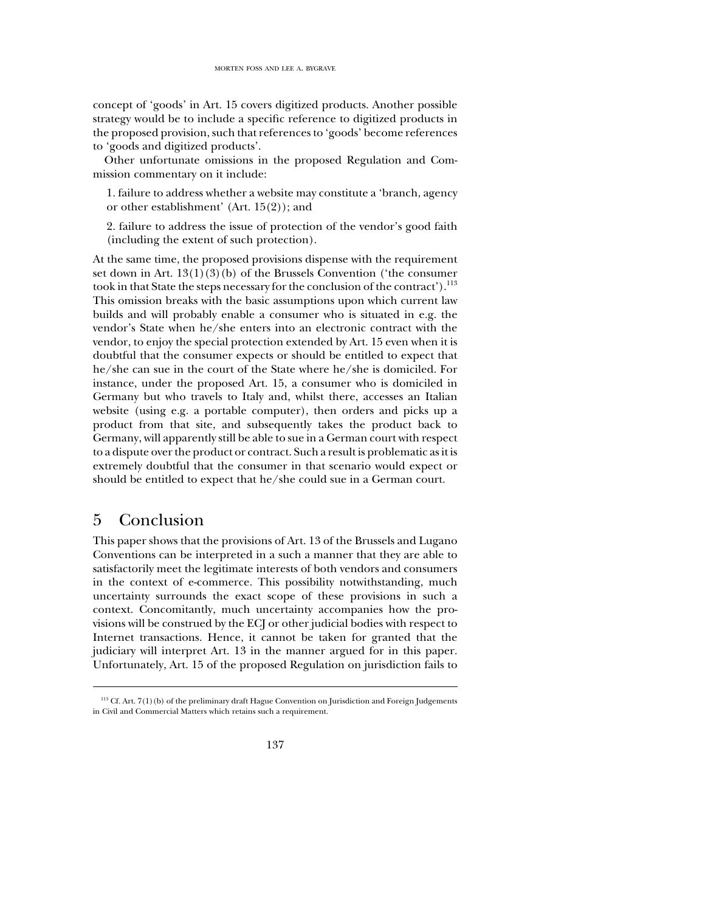concept of 'goods' in Art. 15 covers digitized products. Another possible strategy would be to include a specific reference to digitized products in the proposed provision, such that references to 'goods' become references to 'goods and digitized products'.

Other unfortunate omissions in the proposed Regulation and Commission commentary on it include:

1. failure to address whether a website may constitute a 'branch, agency or other establishment' (Art. 15(2)); and

2. failure to address the issue of protection of the vendor's good faith (including the extent of such protection).

At the same time, the proposed provisions dispense with the requirement set down in Art. 13(1)(3)(b) of the Brussels Convention ('the consumer took in that State the steps necessary for the conclusion of the contract'). $^{\rm 113}$ This omission breaks with the basic assumptions upon which current law builds and will probably enable a consumer who is situated in e.g. the vendor's State when he/she enters into an electronic contract with the vendor, to enjoy the special protection extended by Art. 15 even when it is doubtful that the consumer expects or should be entitled to expect that he/she can sue in the court of the State where he/she is domiciled. For instance, under the proposed Art. 15, a consumer who is domiciled in Germany but who travels to Italy and, whilst there, accesses an Italian website (using e.g. a portable computer), then orders and picks up a product from that site, and subsequently takes the product back to Germany, will apparently still be able to sue in a German court with respect to a dispute over the product or contract. Such a result is problematic as it is extremely doubtful that the consumer in that scenario would expect or should be entitled to expect that he/she could sue in a German court.

## 5 Conclusion

This paper shows that the provisions of Art. 13 of the Brussels and Lugano Conventions can be interpreted in a such a manner that they are able to satisfactorily meet the legitimate interests of both vendors and consumers in the context of e-commerce. This possibility notwithstanding, much uncertainty surrounds the exact scope of these provisions in such a context. Concomitantly, much uncertainty accompanies how the provisions will be construed by the ECJ or other judicial bodies with respect to Internet transactions. Hence, it cannot be taken for granted that the judiciary will interpret Art. 13 in the manner argued for in this paper. Unfortunately, Art. 15 of the proposed Regulation on jurisdiction fails to

<sup>&</sup>lt;sup>113</sup> Cf. Art. 7(1)(b) of the preliminary draft Hague Convention on Jurisdiction and Foreign Judgements in Civil and Commercial Matters which retains such a requirement.